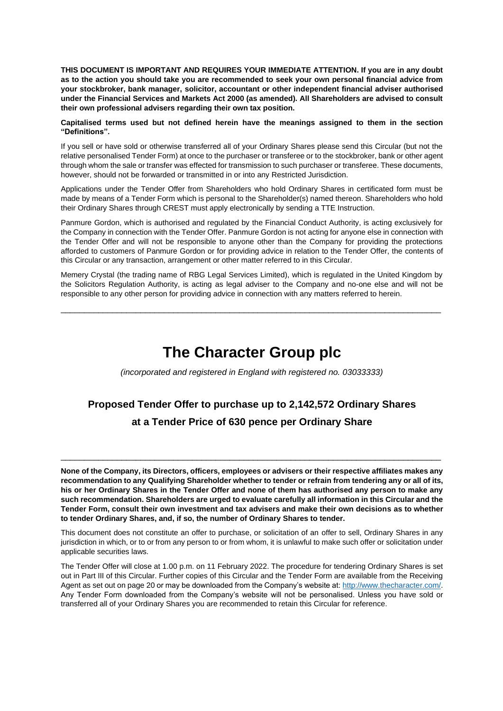**THIS DOCUMENT IS IMPORTANT AND REQUIRES YOUR IMMEDIATE ATTENTION. If you are in any doubt as to the action you should take you are recommended to seek your own personal financial advice from your stockbroker, bank manager, solicitor, accountant or other independent financial adviser authorised under the Financial Services and Markets Act 2000 (as amended). All Shareholders are advised to consult their own professional advisers regarding their own tax position.**

#### **Capitalised terms used but not defined herein have the meanings assigned to them in the section "Definitions".**

If you sell or have sold or otherwise transferred all of your Ordinary Shares please send this Circular (but not the relative personalised Tender Form) at once to the purchaser or transferee or to the stockbroker, bank or other agent through whom the sale or transfer was effected for transmission to such purchaser or transferee. These documents, however, should not be forwarded or transmitted in or into any Restricted Jurisdiction.

Applications under the Tender Offer from Shareholders who hold Ordinary Shares in certificated form must be made by means of a Tender Form which is personal to the Shareholder(s) named thereon. Shareholders who hold their Ordinary Shares through CREST must apply electronically by sending a TTE Instruction.

Panmure Gordon, which is authorised and regulated by the Financial Conduct Authority, is acting exclusively for the Company in connection with the Tender Offer. Panmure Gordon is not acting for anyone else in connection with the Tender Offer and will not be responsible to anyone other than the Company for providing the protections afforded to customers of Panmure Gordon or for providing advice in relation to the Tender Offer, the contents of this Circular or any transaction, arrangement or other matter referred to in this Circular.

Memery Crystal (the trading name of RBG Legal Services Limited), which is regulated in the United Kingdom by the Solicitors Regulation Authority, is acting as legal adviser to the Company and no-one else and will not be responsible to any other person for providing advice in connection with any matters referred to herein.

\_\_\_\_\_\_\_\_\_\_\_\_\_\_\_\_\_\_\_\_\_\_\_\_\_\_\_\_\_\_\_\_\_\_\_\_\_\_\_\_\_\_\_\_\_\_\_\_\_\_\_\_\_\_\_\_\_\_\_\_\_\_\_\_\_\_\_\_\_\_\_\_\_\_\_\_\_\_\_\_\_

# **The Character Group plc**

*(incorporated and registered in England with registered no. 03033333)*

# **Proposed Tender Offer to purchase up to 2,142,572 Ordinary Shares at a Tender Price of 630 pence per Ordinary Share**

**None of the Company, its Directors, officers, employees or advisers or their respective affiliates makes any recommendation to any Qualifying Shareholder whether to tender or refrain from tendering any or all of its, his or her Ordinary Shares in the Tender Offer and none of them has authorised any person to make any such recommendation. Shareholders are urged to evaluate carefully all information in this Circular and the Tender Form, consult their own investment and tax advisers and make their own decisions as to whether to tender Ordinary Shares, and, if so, the number of Ordinary Shares to tender.**

\_\_\_\_\_\_\_\_\_\_\_\_\_\_\_\_\_\_\_\_\_\_\_\_\_\_\_\_\_\_\_\_\_\_\_\_\_\_\_\_\_\_\_\_\_\_\_\_\_\_\_\_\_\_\_\_\_\_\_\_\_\_\_\_\_\_\_\_\_\_\_\_\_\_\_\_\_\_\_\_\_

This document does not constitute an offer to purchase, or solicitation of an offer to sell, Ordinary Shares in any jurisdiction in which, or to or from any person to or from whom, it is unlawful to make such offer or solicitation under applicable securities laws.

The Tender Offer will close at 1.00 p.m. on 11 February 2022. The procedure for tendering Ordinary Shares is set out in Part III of this Circular. Further copies of this Circular and the Tender Form are available from the Receiving Agent as set out on page [20](#page-19-0) or may be downloaded from the Company's website at[: http://www.thecharacter.com/.](http://www.thecharacter.com/) Any Tender Form downloaded from the Company's website will not be personalised. Unless you have sold or transferred all of your Ordinary Shares you are recommended to retain this Circular for reference.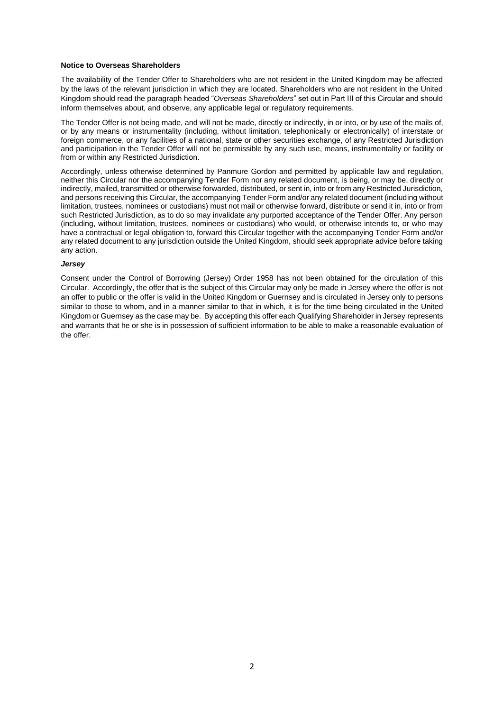#### **Notice to Overseas Shareholders**

The availability of the Tender Offer to Shareholders who are not resident in the United Kingdom may be affected by the laws of the relevant jurisdiction in which they are located. Shareholders who are not resident in the United Kingdom should read the paragraph headed "*Overseas Shareholders*" set out in Part III of this Circular and should inform themselves about, and observe, any applicable legal or regulatory requirements.

The Tender Offer is not being made, and will not be made, directly or indirectly, in or into, or by use of the mails of, or by any means or instrumentality (including, without limitation, telephonically or electronically) of interstate or foreign commerce, or any facilities of a national, state or other securities exchange, of any Restricted Jurisdiction and participation in the Tender Offer will not be permissible by any such use, means, instrumentality or facility or from or within any Restricted Jurisdiction.

Accordingly, unless otherwise determined by Panmure Gordon and permitted by applicable law and regulation, neither this Circular nor the accompanying Tender Form nor any related document, is being, or may be, directly or indirectly, mailed, transmitted or otherwise forwarded, distributed, or sent in, into or from any Restricted Jurisdiction, and persons receiving this Circular, the accompanying Tender Form and/or any related document (including without limitation, trustees, nominees or custodians) must not mail or otherwise forward, distribute or send it in, into or from such Restricted Jurisdiction, as to do so may invalidate any purported acceptance of the Tender Offer. Any person (including, without limitation, trustees, nominees or custodians) who would, or otherwise intends to, or who may have a contractual or legal obligation to, forward this Circular together with the accompanying Tender Form and/or any related document to any jurisdiction outside the United Kingdom, should seek appropriate advice before taking any action.

#### *Jersey*

Consent under the Control of Borrowing (Jersey) Order 1958 has not been obtained for the circulation of this Circular. Accordingly, the offer that is the subject of this Circular may only be made in Jersey where the offer is not an offer to public or the offer is valid in the United Kingdom or Guernsey and is circulated in Jersey only to persons similar to those to whom, and in a manner similar to that in which, it is for the time being circulated in the United Kingdom or Guernsey as the case may be. By accepting this offer each Qualifying Shareholder in Jersey represents and warrants that he or she is in possession of sufficient information to be able to make a reasonable evaluation of the offer.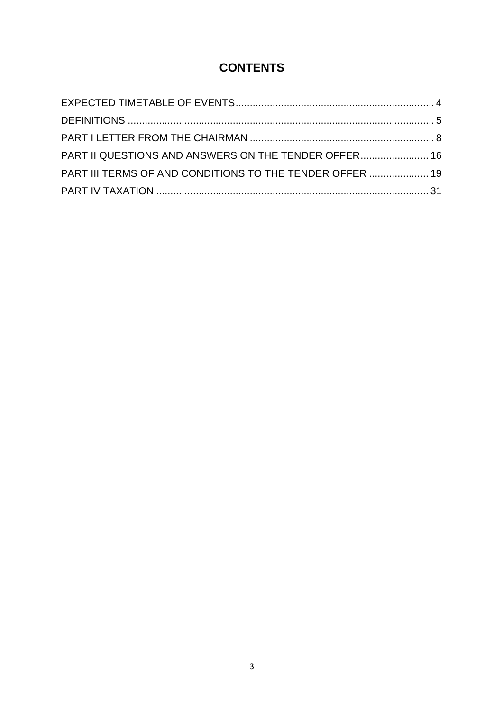# **CONTENTS**

| PART II QUESTIONS AND ANSWERS ON THE TENDER OFFER 16     |  |
|----------------------------------------------------------|--|
| PART III TERMS OF AND CONDITIONS TO THE TENDER OFFER  19 |  |
|                                                          |  |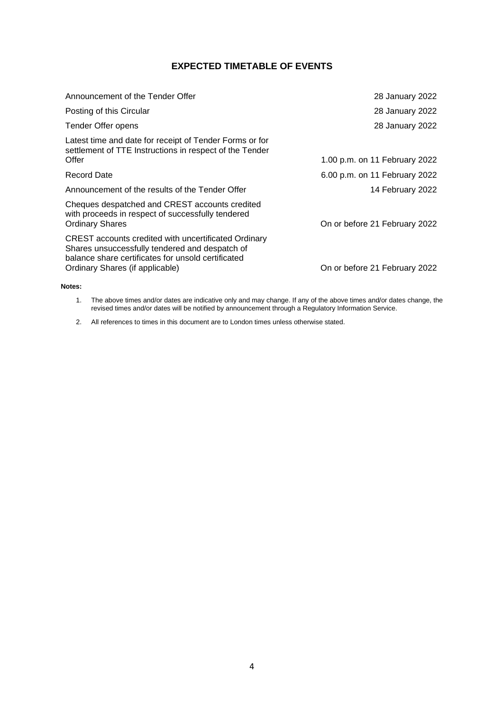## **EXPECTED TIMETABLE OF EVENTS**

<span id="page-3-0"></span>

| Announcement of the Tender Offer                                                                                                                                                                | 28 January 2022               |
|-------------------------------------------------------------------------------------------------------------------------------------------------------------------------------------------------|-------------------------------|
| Posting of this Circular                                                                                                                                                                        | 28 January 2022               |
| Tender Offer opens                                                                                                                                                                              | 28 January 2022               |
| Latest time and date for receipt of Tender Forms or for<br>settlement of TTE Instructions in respect of the Tender<br>Offer                                                                     | 1.00 p.m. on 11 February 2022 |
| <b>Record Date</b>                                                                                                                                                                              | 6.00 p.m. on 11 February 2022 |
| Announcement of the results of the Tender Offer                                                                                                                                                 | 14 February 2022              |
| Cheques despatched and CREST accounts credited<br>with proceeds in respect of successfully tendered<br><b>Ordinary Shares</b>                                                                   | On or before 21 February 2022 |
| CREST accounts credited with uncertificated Ordinary<br>Shares unsuccessfully tendered and despatch of<br>balance share certificates for unsold certificated<br>Ordinary Shares (if applicable) | On or before 21 February 2022 |
|                                                                                                                                                                                                 |                               |

**Notes:**

1. The above times and/or dates are indicative only and may change. If any of the above times and/or dates change, the revised times and/or dates will be notified by announcement through a Regulatory Information Service.

2. All references to times in this document are to London times unless otherwise stated.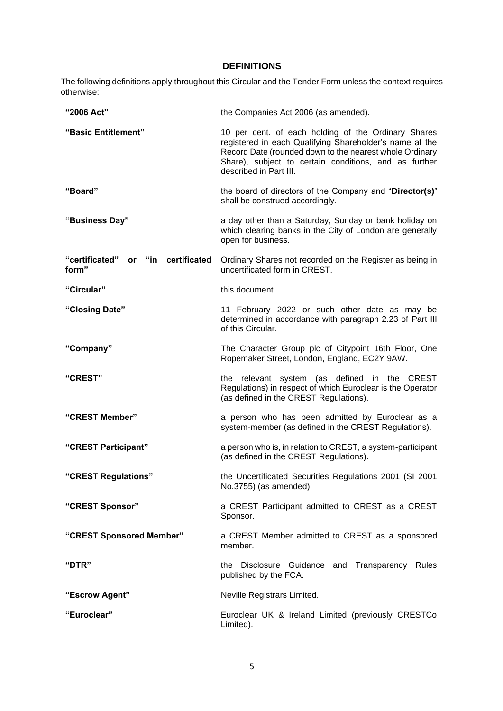## **DEFINITIONS**

<span id="page-4-0"></span>The following definitions apply throughout this Circular and the Tender Form unless the context requires otherwise:

| "2006 Act"                                               | the Companies Act 2006 (as amended).                                                                                                                                                                                                                         |
|----------------------------------------------------------|--------------------------------------------------------------------------------------------------------------------------------------------------------------------------------------------------------------------------------------------------------------|
| "Basic Entitlement"                                      | 10 per cent. of each holding of the Ordinary Shares<br>registered in each Qualifying Shareholder's name at the<br>Record Date (rounded down to the nearest whole Ordinary<br>Share), subject to certain conditions, and as further<br>described in Part III. |
| "Board"                                                  | the board of directors of the Company and "Director(s)"<br>shall be construed accordingly.                                                                                                                                                                   |
| "Business Day"                                           | a day other than a Saturday, Sunday or bank holiday on<br>which clearing banks in the City of London are generally<br>open for business.                                                                                                                     |
| "certificated"<br>"in certificated<br><b>or</b><br>form" | Ordinary Shares not recorded on the Register as being in<br>uncertificated form in CREST.                                                                                                                                                                    |
| "Circular"                                               | this document.                                                                                                                                                                                                                                               |
| "Closing Date"                                           | 11 February 2022 or such other date as may be<br>determined in accordance with paragraph 2.23 of Part III<br>of this Circular.                                                                                                                               |
| "Company"                                                | The Character Group plc of Citypoint 16th Floor, One<br>Ropemaker Street, London, England, EC2Y 9AW.                                                                                                                                                         |
| "CREST"                                                  | the relevant system (as defined in the CREST<br>Regulations) in respect of which Euroclear is the Operator<br>(as defined in the CREST Regulations).                                                                                                         |
| "CREST Member"                                           | a person who has been admitted by Euroclear as a<br>system-member (as defined in the CREST Regulations).                                                                                                                                                     |
| "CREST Participant"                                      | a person who is, in relation to CREST, a system-participant<br>(as defined in the CREST Regulations).                                                                                                                                                        |
| "CREST Regulations"                                      | the Uncertificated Securities Regulations 2001 (SI 2001<br>No.3755) (as amended).                                                                                                                                                                            |
| "CREST Sponsor"                                          | a CREST Participant admitted to CREST as a CREST<br>Sponsor.                                                                                                                                                                                                 |
| "CREST Sponsored Member"                                 | a CREST Member admitted to CREST as a sponsored<br>member.                                                                                                                                                                                                   |
| "DTR"                                                    | the Disclosure Guidance and Transparency Rules<br>published by the FCA.                                                                                                                                                                                      |
| "Escrow Agent"                                           | Neville Registrars Limited.                                                                                                                                                                                                                                  |
| "Euroclear"                                              | Euroclear UK & Ireland Limited (previously CRESTCo<br>Limited).                                                                                                                                                                                              |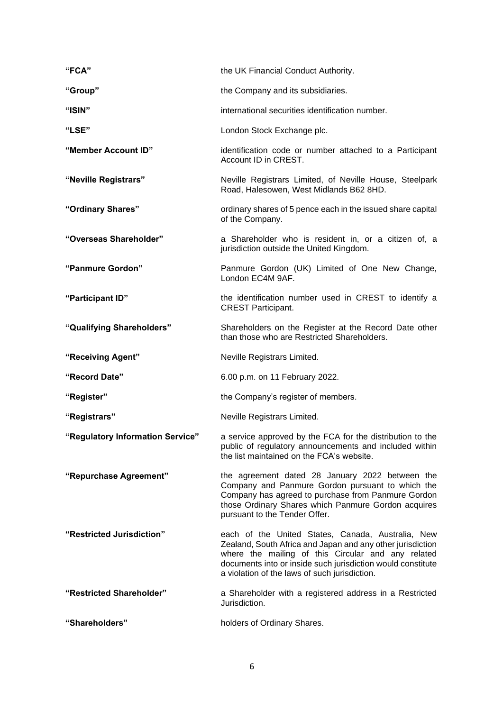| "FCA"                            | the UK Financial Conduct Authority.                                                                                                                                                                                                                                                   |
|----------------------------------|---------------------------------------------------------------------------------------------------------------------------------------------------------------------------------------------------------------------------------------------------------------------------------------|
| "Group"                          | the Company and its subsidiaries.                                                                                                                                                                                                                                                     |
| "ISIN"                           | international securities identification number.                                                                                                                                                                                                                                       |
| "LSE"                            | London Stock Exchange plc.                                                                                                                                                                                                                                                            |
| "Member Account ID"              | identification code or number attached to a Participant<br>Account ID in CREST.                                                                                                                                                                                                       |
| "Neville Registrars"             | Neville Registrars Limited, of Neville House, Steelpark<br>Road, Halesowen, West Midlands B62 8HD.                                                                                                                                                                                    |
| "Ordinary Shares"                | ordinary shares of 5 pence each in the issued share capital<br>of the Company.                                                                                                                                                                                                        |
| "Overseas Shareholder"           | a Shareholder who is resident in, or a citizen of, a<br>jurisdiction outside the United Kingdom.                                                                                                                                                                                      |
| "Panmure Gordon"                 | Panmure Gordon (UK) Limited of One New Change,<br>London EC4M 9AF.                                                                                                                                                                                                                    |
| "Participant ID"                 | the identification number used in CREST to identify a<br><b>CREST Participant.</b>                                                                                                                                                                                                    |
| "Qualifying Shareholders"        | Shareholders on the Register at the Record Date other<br>than those who are Restricted Shareholders.                                                                                                                                                                                  |
|                                  |                                                                                                                                                                                                                                                                                       |
| "Receiving Agent"                | Neville Registrars Limited.                                                                                                                                                                                                                                                           |
| "Record Date"                    | 6.00 p.m. on 11 February 2022.                                                                                                                                                                                                                                                        |
| "Register"                       | the Company's register of members.                                                                                                                                                                                                                                                    |
| "Registrars"                     | Neville Registrars Limited.                                                                                                                                                                                                                                                           |
| "Regulatory Information Service" | a service approved by the FCA for the distribution to the<br>public of regulatory announcements and included within<br>the list maintained on the FCA's website.                                                                                                                      |
| "Repurchase Agreement"           | the agreement dated 28 January 2022 between the<br>Company and Panmure Gordon pursuant to which the<br>Company has agreed to purchase from Panmure Gordon<br>those Ordinary Shares which Panmure Gordon acquires<br>pursuant to the Tender Offer.                                     |
| "Restricted Jurisdiction"        | each of the United States, Canada, Australia, New<br>Zealand, South Africa and Japan and any other jurisdiction<br>where the mailing of this Circular and any related<br>documents into or inside such jurisdiction would constitute<br>a violation of the laws of such jurisdiction. |
| "Restricted Shareholder"         | a Shareholder with a registered address in a Restricted<br>Jurisdiction.                                                                                                                                                                                                              |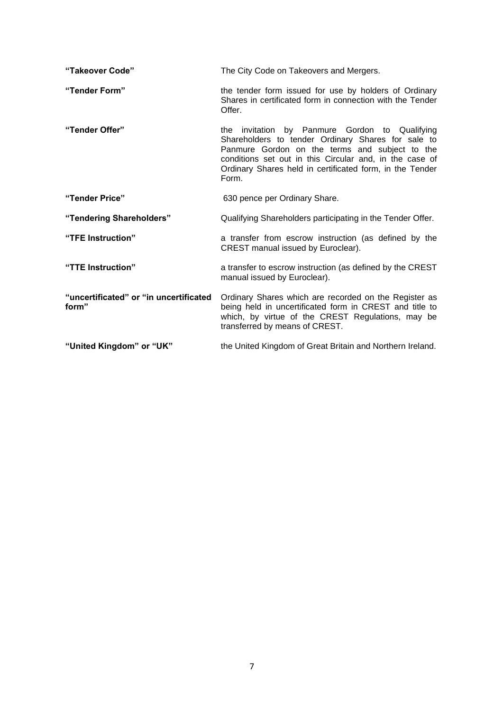| "Takeover Code"                                 | The City Code on Takeovers and Mergers.                                                                                                                                                                                                                                                |
|-------------------------------------------------|----------------------------------------------------------------------------------------------------------------------------------------------------------------------------------------------------------------------------------------------------------------------------------------|
| "Tender Form"                                   | the tender form issued for use by holders of Ordinary<br>Shares in certificated form in connection with the Tender<br>Offer.                                                                                                                                                           |
| "Tender Offer"                                  | the invitation by Panmure Gordon to Qualifying<br>Shareholders to tender Ordinary Shares for sale to<br>Panmure Gordon on the terms and subject to the<br>conditions set out in this Circular and, in the case of<br>Ordinary Shares held in certificated form, in the Tender<br>Form. |
| "Tender Price"                                  | 630 pence per Ordinary Share.                                                                                                                                                                                                                                                          |
| "Tendering Shareholders"                        | Qualifying Shareholders participating in the Tender Offer.                                                                                                                                                                                                                             |
| "TFE Instruction"                               | a transfer from escrow instruction (as defined by the<br>CREST manual issued by Euroclear).                                                                                                                                                                                            |
| "TTE Instruction"                               | a transfer to escrow instruction (as defined by the CREST<br>manual issued by Euroclear).                                                                                                                                                                                              |
| "uncertificated" or "in uncertificated<br>form" | Ordinary Shares which are recorded on the Register as<br>being held in uncertificated form in CREST and title to<br>which, by virtue of the CREST Regulations, may be<br>transferred by means of CREST.                                                                                |
| "United Kingdom" or "UK"                        | the United Kingdom of Great Britain and Northern Ireland.                                                                                                                                                                                                                              |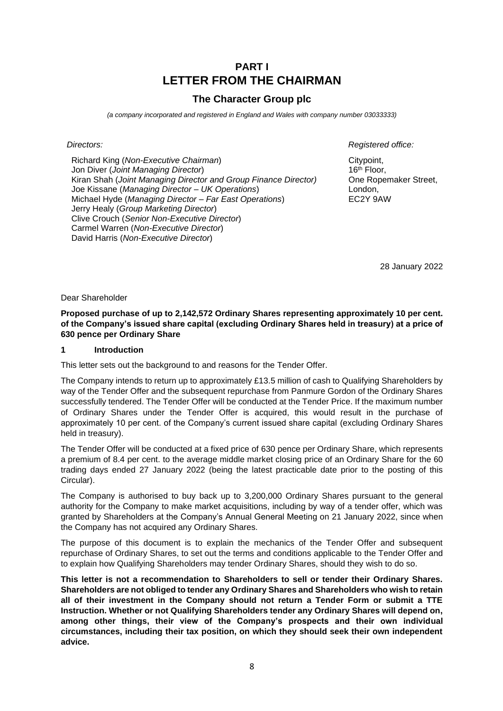## **PART I LETTER FROM THE CHAIRMAN**

## **The Character Group plc**

<span id="page-7-0"></span>*(a company incorporated and registered in England and Wales with company number 03033333)*

Richard King (*Non-Executive Chairman*) Jon Diver (*Joint Managing Director*) Kiran Shah (*Joint Managing Director and Group Finance Director)* Joe Kissane (*Managing Director – UK Operations*) Michael Hyde (*Managing Director – Far East Operations*) Jerry Healy (*Group Marketing Director*) Clive Crouch (*Senior Non-Executive Director*) Carmel Warren (*Non-Executive Director*) David Harris (*Non-Executive Director*)

*Directors: Registered office:*

Citypoint, 16th Floor, One Ropemaker Street, London, EC2Y 9AW

28 January 2022

Dear Shareholder

**Proposed purchase of up to 2,142,572 Ordinary Shares representing approximately 10 per cent. of the Company's issued share capital (excluding Ordinary Shares held in treasury) at a price of 630 pence per Ordinary Share** 

#### **1 Introduction**

This letter sets out the background to and reasons for the Tender Offer.

The Company intends to return up to approximately £13.5 million of cash to Qualifying Shareholders by way of the Tender Offer and the subsequent repurchase from Panmure Gordon of the Ordinary Shares successfully tendered. The Tender Offer will be conducted at the Tender Price. If the maximum number of Ordinary Shares under the Tender Offer is acquired, this would result in the purchase of approximately 10 per cent. of the Company's current issued share capital (excluding Ordinary Shares held in treasury).

The Tender Offer will be conducted at a fixed price of 630 pence per Ordinary Share, which represents a premium of 8.4 per cent. to the average middle market closing price of an Ordinary Share for the 60 trading days ended 27 January 2022 (being the latest practicable date prior to the posting of this Circular).

The Company is authorised to buy back up to 3,200,000 Ordinary Shares pursuant to the general authority for the Company to make market acquisitions, including by way of a tender offer, which was granted by Shareholders at the Company's Annual General Meeting on 21 January 2022, since when the Company has not acquired any Ordinary Shares.

The purpose of this document is to explain the mechanics of the Tender Offer and subsequent repurchase of Ordinary Shares, to set out the terms and conditions applicable to the Tender Offer and to explain how Qualifying Shareholders may tender Ordinary Shares, should they wish to do so.

**This letter is not a recommendation to Shareholders to sell or tender their Ordinary Shares. Shareholders are not obliged to tender any Ordinary Shares and Shareholders who wish to retain all of their investment in the Company should not return a Tender Form or submit a TTE Instruction. Whether or not Qualifying Shareholders tender any Ordinary Shares will depend on, among other things, their view of the Company's prospects and their own individual circumstances, including their tax position, on which they should seek their own independent advice.**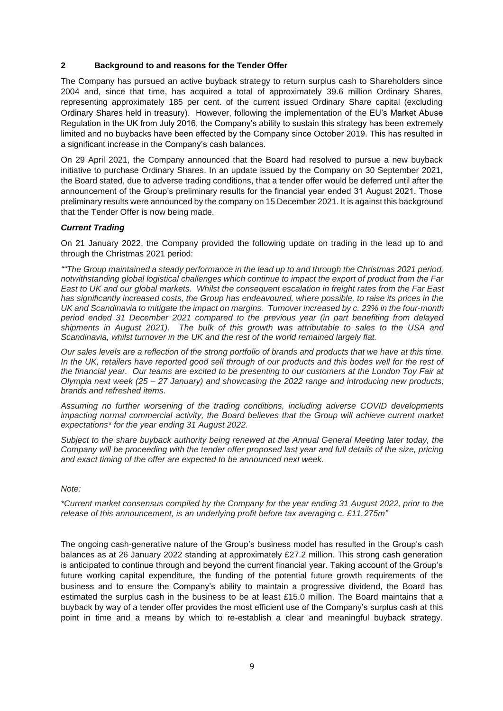#### **2 Background to and reasons for the Tender Offer**

The Company has pursued an active buyback strategy to return surplus cash to Shareholders since 2004 and, since that time, has acquired a total of approximately 39.6 million Ordinary Shares, representing approximately 185 per cent. of the current issued Ordinary Share capital (excluding Ordinary Shares held in treasury). However, following the implementation of the EU's Market Abuse Regulation in the UK from July 2016, the Company's ability to sustain this strategy has been extremely limited and no buybacks have been effected by the Company since October 2019. This has resulted in a significant increase in the Company's cash balances.

On 29 April 2021, the Company announced that the Board had resolved to pursue a new buyback initiative to purchase Ordinary Shares. In an update issued by the Company on 30 September 2021, the Board stated, due to adverse trading conditions, that a tender offer would be deferred until after the announcement of the Group's preliminary results for the financial year ended 31 August 2021. Those preliminary results were announced by the company on 15 December 2021. It is against this background that the Tender Offer is now being made.

#### *Current Trading*

On 21 January 2022, the Company provided the following update on trading in the lead up to and through the Christmas 2021 period:

*""The Group maintained a steady performance in the lead up to and through the Christmas 2021 period, notwithstanding global logistical challenges which continue to impact the export of product from the Far East to UK and our global markets. Whilst the consequent escalation in freight rates from the Far East has significantly increased costs, the Group has endeavoured, where possible, to raise its prices in the UK and Scandinavia to mitigate the impact on margins. Turnover increased by c. 23% in the four-month period ended 31 December 2021 compared to the previous year (in part benefiting from delayed shipments in August 2021). The bulk of this growth was attributable to sales to the USA and Scandinavia, whilst turnover in the UK and the rest of the world remained largely flat.* 

*Our sales levels are a reflection of the strong portfolio of brands and products that we have at this time. In the UK, retailers have reported good sell through of our products and this bodes well for the rest of the financial year. Our teams are excited to be presenting to our customers at the London Toy Fair at Olympia next week (25 – 27 January) and showcasing the 2022 range and introducing new products, brands and refreshed items.*

*Assuming no further worsening of the trading conditions, including adverse COVID developments impacting normal commercial activity, the Board believes that the Group will achieve current market expectations\* for the year ending 31 August 2022.*

*Subject to the share buyback authority being renewed at the Annual General Meeting later today, the Company will be proceeding with the tender offer proposed last year and full details of the size, pricing and exact timing of the offer are expected to be announced next week.*

*Note:* 

*\*Current market consensus compiled by the Company for the year ending 31 August 2022, prior to the release of this announcement, is an underlying profit before tax averaging c. £11.275m"*

The ongoing cash-generative nature of the Group's business model has resulted in the Group's cash balances as at 26 January 2022 standing at approximately £27.2 million. This strong cash generation is anticipated to continue through and beyond the current financial year. Taking account of the Group's future working capital expenditure, the funding of the potential future growth requirements of the business and to ensure the Company's ability to maintain a progressive dividend, the Board has estimated the surplus cash in the business to be at least £15.0 million. The Board maintains that a buyback by way of a tender offer provides the most efficient use of the Company's surplus cash at this point in time and a means by which to re-establish a clear and meaningful buyback strategy.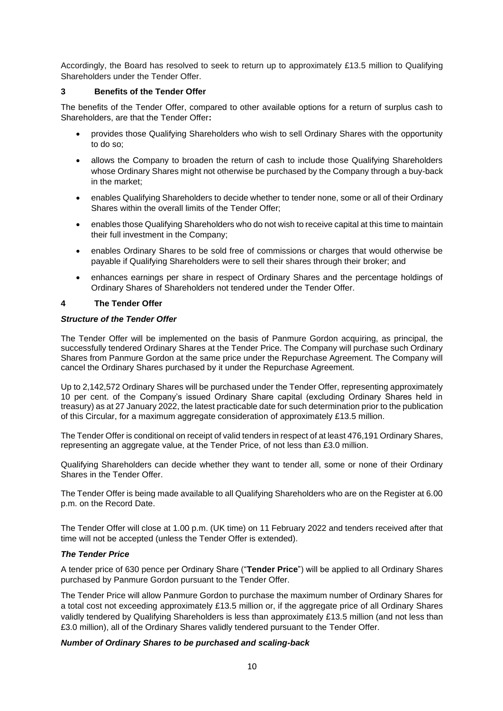Accordingly, the Board has resolved to seek to return up to approximately £13.5 million to Qualifying Shareholders under the Tender Offer.

#### **3 Benefits of the Tender Offer**

The benefits of the Tender Offer, compared to other available options for a return of surplus cash to Shareholders, are that the Tender Offer**:** 

- provides those Qualifying Shareholders who wish to sell Ordinary Shares with the opportunity to do so;
- allows the Company to broaden the return of cash to include those Qualifying Shareholders whose Ordinary Shares might not otherwise be purchased by the Company through a buy-back in the market;
- enables Qualifying Shareholders to decide whether to tender none, some or all of their Ordinary Shares within the overall limits of the Tender Offer;
- enables those Qualifying Shareholders who do not wish to receive capital at this time to maintain their full investment in the Company;
- enables Ordinary Shares to be sold free of commissions or charges that would otherwise be payable if Qualifying Shareholders were to sell their shares through their broker; and
- enhances earnings per share in respect of Ordinary Shares and the percentage holdings of Ordinary Shares of Shareholders not tendered under the Tender Offer.

#### **4 The Tender Offer**

#### *Structure of the Tender Offer*

The Tender Offer will be implemented on the basis of Panmure Gordon acquiring, as principal, the successfully tendered Ordinary Shares at the Tender Price. The Company will purchase such Ordinary Shares from Panmure Gordon at the same price under the Repurchase Agreement. The Company will cancel the Ordinary Shares purchased by it under the Repurchase Agreement.

Up to 2,142,572 Ordinary Shares will be purchased under the Tender Offer, representing approximately 10 per cent. of the Company's issued Ordinary Share capital (excluding Ordinary Shares held in treasury) as at 27 January 2022, the latest practicable date for such determination prior to the publication of this Circular, for a maximum aggregate consideration of approximately £13.5 million.

The Tender Offer is conditional on receipt of valid tenders in respect of at least 476,191 Ordinary Shares, representing an aggregate value, at the Tender Price, of not less than £3.0 million.

Qualifying Shareholders can decide whether they want to tender all, some or none of their Ordinary Shares in the Tender Offer.

The Tender Offer is being made available to all Qualifying Shareholders who are on the Register at 6.00 p.m. on the Record Date.

The Tender Offer will close at 1.00 p.m. (UK time) on 11 February 2022 and tenders received after that time will not be accepted (unless the Tender Offer is extended).

#### *The Tender Price*

A tender price of 630 pence per Ordinary Share ("**Tender Price**") will be applied to all Ordinary Shares purchased by Panmure Gordon pursuant to the Tender Offer.

The Tender Price will allow Panmure Gordon to purchase the maximum number of Ordinary Shares for a total cost not exceeding approximately £13.5 million or, if the aggregate price of all Ordinary Shares validly tendered by Qualifying Shareholders is less than approximately £13.5 million (and not less than £3.0 million), all of the Ordinary Shares validly tendered pursuant to the Tender Offer.

#### *Number of Ordinary Shares to be purchased and scaling-back*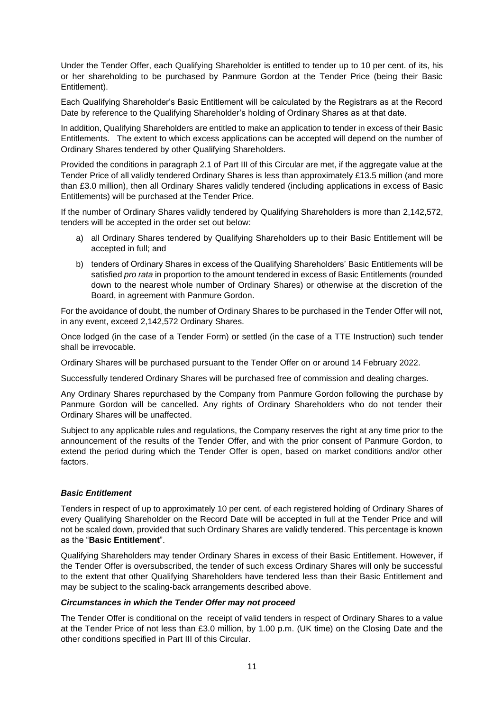Under the Tender Offer, each Qualifying Shareholder is entitled to tender up to 10 per cent. of its, his or her shareholding to be purchased by Panmure Gordon at the Tender Price (being their Basic Entitlement).

Each Qualifying Shareholder's Basic Entitlement will be calculated by the Registrars as at the Record Date by reference to the Qualifying Shareholder's holding of Ordinary Shares as at that date.

In addition, Qualifying Shareholders are entitled to make an application to tender in excess of their Basic Entitlements. The extent to which excess applications can be accepted will depend on the number of Ordinary Shares tendered by other Qualifying Shareholders.

Provided the conditions in paragraph 2.1 of Part III of this Circular are met, if the aggregate value at the Tender Price of all validly tendered Ordinary Shares is less than approximately £13.5 million (and more than £3.0 million), then all Ordinary Shares validly tendered (including applications in excess of Basic Entitlements) will be purchased at the Tender Price.

If the number of Ordinary Shares validly tendered by Qualifying Shareholders is more than 2,142,572, tenders will be accepted in the order set out below:

- a) all Ordinary Shares tendered by Qualifying Shareholders up to their Basic Entitlement will be accepted in full; and
- b) tenders of Ordinary Shares in excess of the Qualifying Shareholders' Basic Entitlements will be satisfied *pro rata* in proportion to the amount tendered in excess of Basic Entitlements (rounded down to the nearest whole number of Ordinary Shares) or otherwise at the discretion of the Board, in agreement with Panmure Gordon.

For the avoidance of doubt, the number of Ordinary Shares to be purchased in the Tender Offer will not, in any event, exceed 2,142,572 Ordinary Shares.

Once lodged (in the case of a Tender Form) or settled (in the case of a TTE Instruction) such tender shall be irrevocable.

Ordinary Shares will be purchased pursuant to the Tender Offer on or around 14 February 2022.

Successfully tendered Ordinary Shares will be purchased free of commission and dealing charges.

Any Ordinary Shares repurchased by the Company from Panmure Gordon following the purchase by Panmure Gordon will be cancelled. Any rights of Ordinary Shareholders who do not tender their Ordinary Shares will be unaffected.

Subject to any applicable rules and regulations, the Company reserves the right at any time prior to the announcement of the results of the Tender Offer, and with the prior consent of Panmure Gordon, to extend the period during which the Tender Offer is open, based on market conditions and/or other factors.

#### *Basic Entitlement*

Tenders in respect of up to approximately 10 per cent. of each registered holding of Ordinary Shares of every Qualifying Shareholder on the Record Date will be accepted in full at the Tender Price and will not be scaled down, provided that such Ordinary Shares are validly tendered. This percentage is known as the "**Basic Entitlement**".

Qualifying Shareholders may tender Ordinary Shares in excess of their Basic Entitlement. However, if the Tender Offer is oversubscribed, the tender of such excess Ordinary Shares will only be successful to the extent that other Qualifying Shareholders have tendered less than their Basic Entitlement and may be subject to the scaling-back arrangements described above.

#### *Circumstances in which the Tender Offer may not proceed*

The Tender Offer is conditional on the receipt of valid tenders in respect of Ordinary Shares to a value at the Tender Price of not less than £3.0 million, by 1.00 p.m. (UK time) on the Closing Date and the other conditions specified in Part III of this Circular.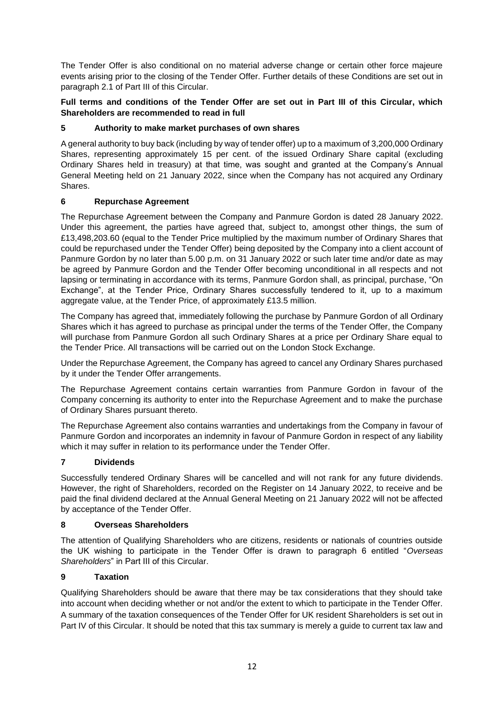The Tender Offer is also conditional on no material adverse change or certain other force majeure events arising prior to the closing of the Tender Offer. Further details of these Conditions are set out in paragraph 2.1 of Part III of this Circular.

#### **Full terms and conditions of the Tender Offer are set out in Part III of this Circular, which Shareholders are recommended to read in full**

### **5 Authority to make market purchases of own shares**

A general authority to buy back (including by way of tender offer) up to a maximum of 3,200,000 Ordinary Shares, representing approximately 15 per cent. of the issued Ordinary Share capital (excluding Ordinary Shares held in treasury) at that time, was sought and granted at the Company's Annual General Meeting held on 21 January 2022, since when the Company has not acquired any Ordinary Shares.

### **6 Repurchase Agreement**

The Repurchase Agreement between the Company and Panmure Gordon is dated 28 January 2022. Under this agreement, the parties have agreed that, subject to, amongst other things, the sum of £13,498,203.60 (equal to the Tender Price multiplied by the maximum number of Ordinary Shares that could be repurchased under the Tender Offer) being deposited by the Company into a client account of Panmure Gordon by no later than 5.00 p.m. on 31 January 2022 or such later time and/or date as may be agreed by Panmure Gordon and the Tender Offer becoming unconditional in all respects and not lapsing or terminating in accordance with its terms, Panmure Gordon shall, as principal, purchase, "On Exchange", at the Tender Price, Ordinary Shares successfully tendered to it, up to a maximum aggregate value, at the Tender Price, of approximately £13.5 million.

The Company has agreed that, immediately following the purchase by Panmure Gordon of all Ordinary Shares which it has agreed to purchase as principal under the terms of the Tender Offer, the Company will purchase from Panmure Gordon all such Ordinary Shares at a price per Ordinary Share equal to the Tender Price. All transactions will be carried out on the London Stock Exchange.

Under the Repurchase Agreement, the Company has agreed to cancel any Ordinary Shares purchased by it under the Tender Offer arrangements.

The Repurchase Agreement contains certain warranties from Panmure Gordon in favour of the Company concerning its authority to enter into the Repurchase Agreement and to make the purchase of Ordinary Shares pursuant thereto.

The Repurchase Agreement also contains warranties and undertakings from the Company in favour of Panmure Gordon and incorporates an indemnity in favour of Panmure Gordon in respect of any liability which it may suffer in relation to its performance under the Tender Offer.

### **7 Dividends**

Successfully tendered Ordinary Shares will be cancelled and will not rank for any future dividends. However, the right of Shareholders, recorded on the Register on 14 January 2022, to receive and be paid the final dividend declared at the Annual General Meeting on 21 January 2022 will not be affected by acceptance of the Tender Offer.

### **8 Overseas Shareholders**

The attention of Qualifying Shareholders who are citizens, residents or nationals of countries outside the UK wishing to participate in the Tender Offer is drawn to paragraph 6 entitled "*Overseas Shareholders*" in Part III of this Circular.

### **9 Taxation**

Qualifying Shareholders should be aware that there may be tax considerations that they should take into account when deciding whether or not and/or the extent to which to participate in the Tender Offer. A summary of the taxation consequences of the Tender Offer for UK resident Shareholders is set out in Part IV of this Circular. It should be noted that this tax summary is merely a guide to current tax law and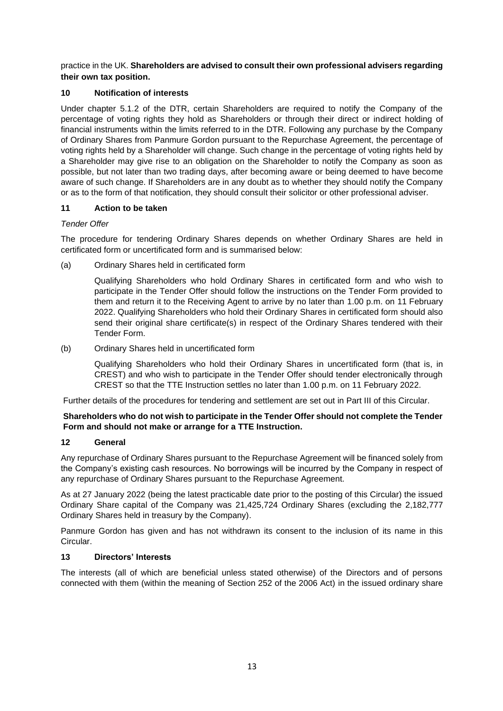practice in the UK. **Shareholders are advised to consult their own professional advisers regarding their own tax position.**

#### **10 Notification of interests**

Under chapter 5.1.2 of the DTR, certain Shareholders are required to notify the Company of the percentage of voting rights they hold as Shareholders or through their direct or indirect holding of financial instruments within the limits referred to in the DTR. Following any purchase by the Company of Ordinary Shares from Panmure Gordon pursuant to the Repurchase Agreement, the percentage of voting rights held by a Shareholder will change. Such change in the percentage of voting rights held by a Shareholder may give rise to an obligation on the Shareholder to notify the Company as soon as possible, but not later than two trading days, after becoming aware or being deemed to have become aware of such change. If Shareholders are in any doubt as to whether they should notify the Company or as to the form of that notification, they should consult their solicitor or other professional adviser.

#### **11 Action to be taken**

#### *Tender Offer*

The procedure for tendering Ordinary Shares depends on whether Ordinary Shares are held in certificated form or uncertificated form and is summarised below:

(a) Ordinary Shares held in certificated form

Qualifying Shareholders who hold Ordinary Shares in certificated form and who wish to participate in the Tender Offer should follow the instructions on the Tender Form provided to them and return it to the Receiving Agent to arrive by no later than 1.00 p.m. on 11 February 2022. Qualifying Shareholders who hold their Ordinary Shares in certificated form should also send their original share certificate(s) in respect of the Ordinary Shares tendered with their Tender Form.

(b) Ordinary Shares held in uncertificated form

Qualifying Shareholders who hold their Ordinary Shares in uncertificated form (that is, in CREST) and who wish to participate in the Tender Offer should tender electronically through CREST so that the TTE Instruction settles no later than 1.00 p.m. on 11 February 2022.

Further details of the procedures for tendering and settlement are set out in Part III of this Circular.

#### **Shareholders who do not wish to participate in the Tender Offer should not complete the Tender Form and should not make or arrange for a TTE Instruction.**

#### **12 General**

Any repurchase of Ordinary Shares pursuant to the Repurchase Agreement will be financed solely from the Company's existing cash resources. No borrowings will be incurred by the Company in respect of any repurchase of Ordinary Shares pursuant to the Repurchase Agreement.

As at 27 January 2022 (being the latest practicable date prior to the posting of this Circular) the issued Ordinary Share capital of the Company was 21,425,724 Ordinary Shares (excluding the 2,182,777 Ordinary Shares held in treasury by the Company).

Panmure Gordon has given and has not withdrawn its consent to the inclusion of its name in this Circular.

#### **13 Directors' Interests**

The interests (all of which are beneficial unless stated otherwise) of the Directors and of persons connected with them (within the meaning of Section 252 of the 2006 Act) in the issued ordinary share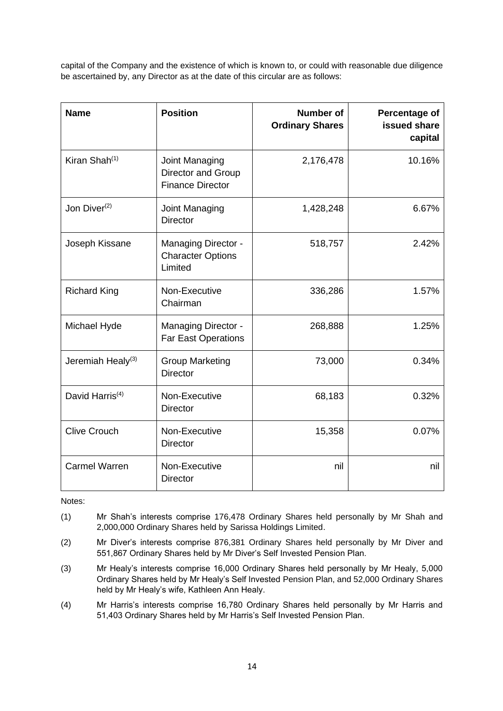capital of the Company and the existence of which is known to, or could with reasonable due diligence be ascertained by, any Director as at the date of this circular are as follows:

| <b>Name</b>                   | <b>Position</b>                                                   | Number of<br><b>Ordinary Shares</b> | Percentage of<br>issued share<br>capital |
|-------------------------------|-------------------------------------------------------------------|-------------------------------------|------------------------------------------|
| Kiran Shah $(1)$              | Joint Managing<br>Director and Group<br><b>Finance Director</b>   | 2,176,478                           | 10.16%                                   |
| Jon Diver $(2)$               | Joint Managing<br><b>Director</b>                                 | 1,428,248                           | 6.67%                                    |
| Joseph Kissane                | <b>Managing Director -</b><br><b>Character Options</b><br>Limited | 518,757                             | 2.42%                                    |
| <b>Richard King</b>           | Non-Executive<br>Chairman                                         | 336,286                             | 1.57%                                    |
| Michael Hyde                  | <b>Managing Director -</b><br><b>Far East Operations</b>          | 268,888                             | 1.25%                                    |
| Jeremiah Healy <sup>(3)</sup> | <b>Group Marketing</b><br><b>Director</b>                         | 73,000                              | 0.34%                                    |
| David Harris <sup>(4)</sup>   | Non-Executive<br><b>Director</b>                                  | 68,183                              | 0.32%                                    |
| <b>Clive Crouch</b>           | Non-Executive<br><b>Director</b>                                  | 15,358                              | 0.07%                                    |
| <b>Carmel Warren</b>          | Non-Executive<br><b>Director</b>                                  | nil                                 | nil                                      |

Notes:

- (1) Mr Shah's interests comprise 176,478 Ordinary Shares held personally by Mr Shah and 2,000,000 Ordinary Shares held by Sarissa Holdings Limited.
- (2) Mr Diver's interests comprise 876,381 Ordinary Shares held personally by Mr Diver and 551,867 Ordinary Shares held by Mr Diver's Self Invested Pension Plan.
- (3) Mr Healy's interests comprise 16,000 Ordinary Shares held personally by Mr Healy, 5,000 Ordinary Shares held by Mr Healy's Self Invested Pension Plan, and 52,000 Ordinary Shares held by Mr Healy's wife, Kathleen Ann Healy.
- (4) Mr Harris's interests comprise 16,780 Ordinary Shares held personally by Mr Harris and 51,403 Ordinary Shares held by Mr Harris's Self Invested Pension Plan.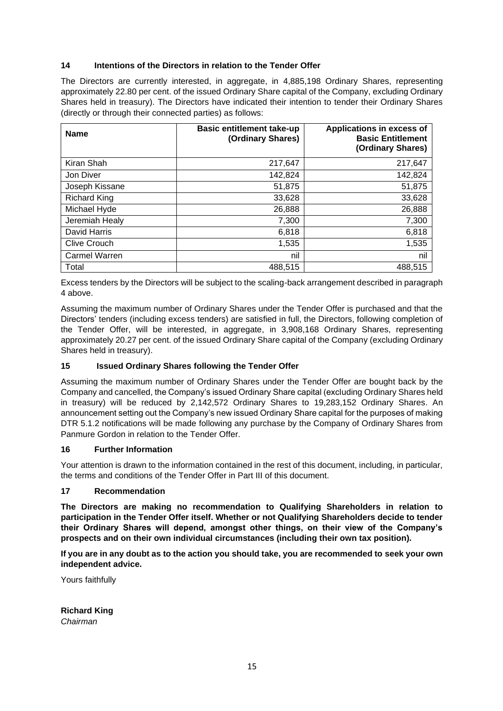#### **14 Intentions of the Directors in relation to the Tender Offer**

The Directors are currently interested, in aggregate, in 4,885,198 Ordinary Shares, representing approximately 22.80 per cent. of the issued Ordinary Share capital of the Company, excluding Ordinary Shares held in treasury). The Directors have indicated their intention to tender their Ordinary Shares (directly or through their connected parties) as follows:

| <b>Name</b>         | <b>Basic entitlement take-up</b><br>(Ordinary Shares) | Applications in excess of<br><b>Basic Entitlement</b><br>(Ordinary Shares) |
|---------------------|-------------------------------------------------------|----------------------------------------------------------------------------|
| Kiran Shah          | 217,647                                               | 217,647                                                                    |
| Jon Diver           | 142,824                                               | 142,824                                                                    |
| Joseph Kissane      | 51,875                                                | 51,875                                                                     |
| <b>Richard King</b> | 33,628                                                | 33,628                                                                     |
| Michael Hyde        | 26,888                                                | 26,888                                                                     |
| Jeremiah Healy      | 7,300                                                 | 7,300                                                                      |
| David Harris        | 6,818                                                 | 6,818                                                                      |
| <b>Clive Crouch</b> | 1,535                                                 | 1,535                                                                      |
| Carmel Warren       | nil                                                   | nil                                                                        |
| Total               | 488.515                                               | 488,515                                                                    |

Excess tenders by the Directors will be subject to the scaling-back arrangement described in paragraph 4 above.

Assuming the maximum number of Ordinary Shares under the Tender Offer is purchased and that the Directors' tenders (including excess tenders) are satisfied in full, the Directors, following completion of the Tender Offer, will be interested, in aggregate, in 3,908,168 Ordinary Shares, representing approximately 20.27 per cent. of the issued Ordinary Share capital of the Company (excluding Ordinary Shares held in treasury).

#### **15 Issued Ordinary Shares following the Tender Offer**

Assuming the maximum number of Ordinary Shares under the Tender Offer are bought back by the Company and cancelled, the Company's issued Ordinary Share capital (excluding Ordinary Shares held in treasury) will be reduced by 2,142,572 Ordinary Shares to 19,283,152 Ordinary Shares. An announcement setting out the Company's new issued Ordinary Share capital for the purposes of making DTR 5.1.2 notifications will be made following any purchase by the Company of Ordinary Shares from Panmure Gordon in relation to the Tender Offer.

#### **16 Further Information**

Your attention is drawn to the information contained in the rest of this document, including, in particular, the terms and conditions of the Tender Offer in Part III of this document.

#### **17 Recommendation**

**The Directors are making no recommendation to Qualifying Shareholders in relation to participation in the Tender Offer itself. Whether or not Qualifying Shareholders decide to tender their Ordinary Shares will depend, amongst other things, on their view of the Company's prospects and on their own individual circumstances (including their own tax position).**

**If you are in any doubt as to the action you should take, you are recommended to seek your own independent advice.**

Yours faithfully

**Richard King** *Chairman*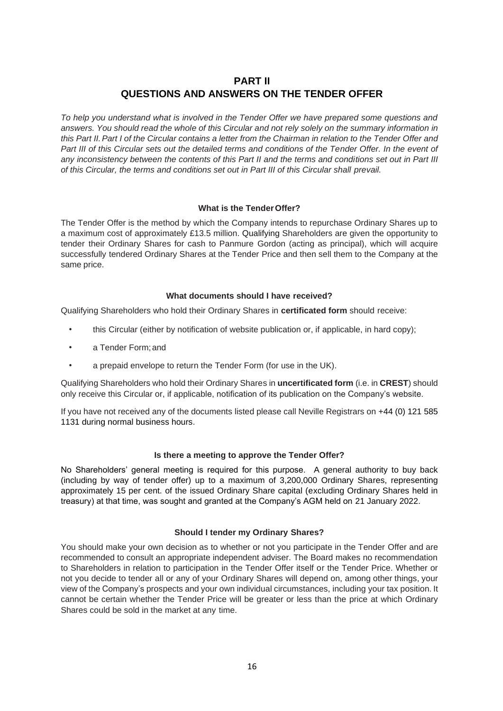## **PART II QUESTIONS AND ANSWERS ON THE TENDER OFFER**

<span id="page-15-0"></span>*To help you understand what is involved in the Tender Offer we have prepared some questions and answers. You should read the whole of this Circular and not rely solely on the summary information in* this Part II. Part I of the Circular contains a letter from the Chairman in relation to the Tender Offer and Part III of this Circular sets out the detailed terms and conditions of the Tender Offer. In the event of *any inconsistency between the contents of this Part II and the terms and conditions set out in Part III of this Circular, the terms and conditions set out in Part III of this Circular shall prevail.*

#### **What is the TenderOffer?**

The Tender Offer is the method by which the Company intends to repurchase Ordinary Shares up to a maximum cost of approximately £13.5 million. Qualifying Shareholders are given the opportunity to tender their Ordinary Shares for cash to Panmure Gordon (acting as principal), which will acquire successfully tendered Ordinary Shares at the Tender Price and then sell them to the Company at the same price.

#### **What documents should I have received?**

Qualifying Shareholders who hold their Ordinary Shares in **certificated form** should receive:

- this Circular (either by notification of website publication or, if applicable, in hard copy);
- a Tender Form;and
- a prepaid envelope to return the Tender Form (for use in the UK).

Qualifying Shareholders who hold their Ordinary Shares in **uncertificated form** (i.e. in **CREST**) should only receive this Circular or, if applicable, notification of its publication on the Company's website.

If you have not received any of the documents listed please call Neville Registrars on +44 (0) 121 585 1131 during normal business hours.

#### **Is there a meeting to approve the Tender Offer?**

No Shareholders' general meeting is required for this purpose. A general authority to buy back (including by way of tender offer) up to a maximum of 3,200,000 Ordinary Shares, representing approximately 15 per cent. of the issued Ordinary Share capital (excluding Ordinary Shares held in treasury) at that time, was sought and granted at the Company's AGM held on 21 January 2022.

#### **Should I tender my Ordinary Shares?**

You should make your own decision as to whether or not you participate in the Tender Offer and are recommended to consult an appropriate independent adviser. The Board makes no recommendation to Shareholders in relation to participation in the Tender Offer itself or the Tender Price. Whether or not you decide to tender all or any of your Ordinary Shares will depend on, among other things, your view of the Company's prospects and your own individual circumstances, including your tax position. It cannot be certain whether the Tender Price will be greater or less than the price at which Ordinary Shares could be sold in the market at any time.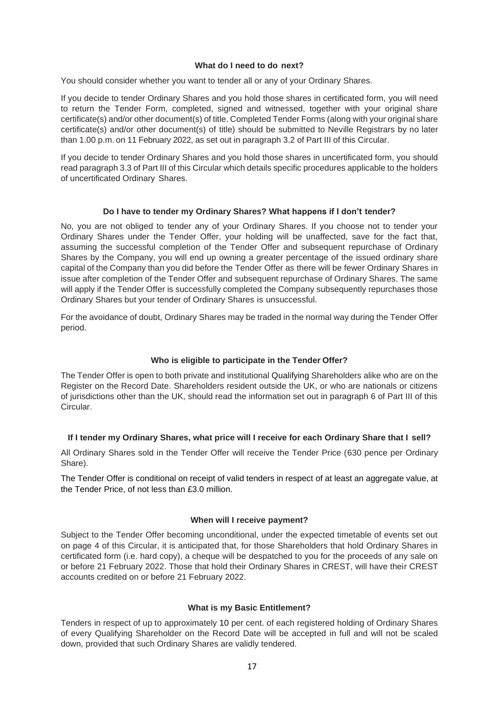#### **What do I need to do next?**

You should consider whether you want to tender all or any of your Ordinary Shares.

If you decide to tender Ordinary Shares and you hold those shares in certificated form, you will need to return the Tender Form, completed, signed and witnessed, together with your original share certificate(s) and/or other document(s) of title. Completed Tender Forms (along with your original share certificate(s) and/or other document(s) of title) should be submitted to Neville Registrars by no later than 1.00 p.m. on 11 February 2022, as set out in paragraph 3.2 of Part III of this Circular.

If you decide to tender Ordinary Shares and you hold those shares in uncertificated form, you should read paragraph 3.3 of Part III of this Circular which details specific procedures applicable to the holders of uncertificated Ordinary Shares.

#### **Do I have to tender my Ordinary Shares? What happens if I don't tender?**

No, you are not obliged to tender any of your Ordinary Shares. If you choose not to tender your Ordinary Shares under the Tender Offer, your holding will be unaffected, save for the fact that, assuming the successful completion of the Tender Offer and subsequent repurchase of Ordinary Shares by the Company, you will end up owning a greater percentage of the issued ordinary share capital of the Company than you did before the Tender Offer as there will be fewer Ordinary Shares in issue after completion of the Tender Offer and subsequent repurchase of Ordinary Shares. The same will apply if the Tender Offer is successfully completed the Company subsequently repurchases those Ordinary Shares but your tender of Ordinary Shares is unsuccessful.

For the avoidance of doubt, Ordinary Shares may be traded in the normal way during the Tender Offer period.

#### **Who is eligible to participate in the Tender Offer?**

The Tender Offer is open to both private and institutional Qualifying Shareholders alike who are on the Register on the Record Date. Shareholders resident outside the UK, or who are nationals or citizens of jurisdictions other than the UK, should read the information set out in paragraph 6 of Part III of this Circular.

#### **If I tender my Ordinary Shares, what price will I receive for each Ordinary Share that I sell?**

All Ordinary Shares sold in the Tender Offer will receive the Tender Price (630 pence per Ordinary Share).

The Tender Offer is conditional on receipt of valid tenders in respect of at least an aggregate value, at the Tender Price, of not less than £3.0 million.

#### **When will I receive payment?**

Subject to the Tender Offer becoming unconditional, under the expected timetable of events set out on page 4 of this Circular, it is anticipated that, for those Shareholders that hold Ordinary Shares in certificated form (i.e. hard copy), a cheque will be despatched to you for the proceeds of any sale on or before 21 February 2022. Those that hold their Ordinary Shares in CREST, will have their CREST accounts credited on or before 21 February 2022.

#### **What is my Basic Entitlement?**

Tenders in respect of up to approximately 10 per cent. of each registered holding of Ordinary Shares of every Qualifying Shareholder on the Record Date will be accepted in full and will not be scaled down, provided that such Ordinary Shares are validly tendered.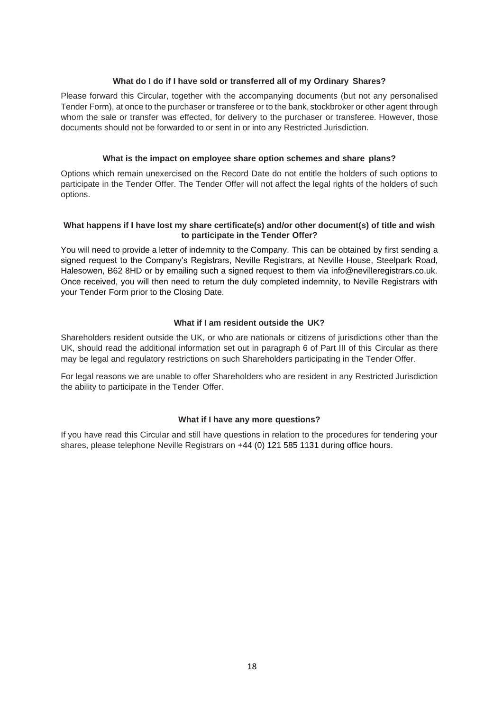#### **What do I do if I have sold or transferred all of my Ordinary Shares?**

Please forward this Circular, together with the accompanying documents (but not any personalised Tender Form), at once to the purchaser or transferee or to the bank, stockbroker or other agent through whom the sale or transfer was effected, for delivery to the purchaser or transferee. However, those documents should not be forwarded to or sent in or into any Restricted Jurisdiction.

#### **What is the impact on employee share option schemes and share plans?**

Options which remain unexercised on the Record Date do not entitle the holders of such options to participate in the Tender Offer. The Tender Offer will not affect the legal rights of the holders of such options.

#### **What happens if I have lost my share certificate(s) and/or other document(s) of title and wish to participate in the Tender Offer?**

You will need to provide a letter of indemnity to the Company. This can be obtained by first sending a signed request to the Company's Registrars, Neville Registrars, at Neville House, Steelpark Road, Halesowen, B62 8HD or by emailing such a signed request to them via info@nevilleregistrars.co.uk. Once received, you will then need to return the duly completed indemnity, to Neville Registrars with your Tender Form prior to the Closing Date.

#### **What if I am resident outside the UK?**

Shareholders resident outside the UK, or who are nationals or citizens of jurisdictions other than the UK, should read the additional information set out in paragraph 6 of Part III of this Circular as there may be legal and regulatory restrictions on such Shareholders participating in the Tender Offer.

For legal reasons we are unable to offer Shareholders who are resident in any Restricted Jurisdiction the ability to participate in the Tender Offer.

#### **What if I have any more questions?**

If you have read this Circular and still have questions in relation to the procedures for tendering your shares, please telephone Neville Registrars on +44 (0) 121 585 1131 during office hours.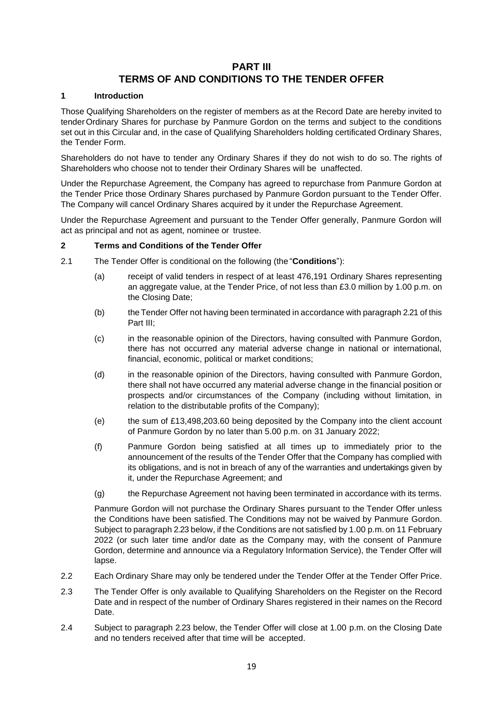### **PART III**

## **TERMS OF AND CONDITIONS TO THE TENDER OFFER**

#### <span id="page-18-0"></span>**1 Introduction**

Those Qualifying Shareholders on the register of members as at the Record Date are hereby invited to tenderOrdinary Shares for purchase by Panmure Gordon on the terms and subject to the conditions set out in this Circular and, in the case of Qualifying Shareholders holding certificated Ordinary Shares, the Tender Form.

Shareholders do not have to tender any Ordinary Shares if they do not wish to do so. The rights of Shareholders who choose not to tender their Ordinary Shares will be unaffected.

Under the Repurchase Agreement, the Company has agreed to repurchase from Panmure Gordon at the Tender Price those Ordinary Shares purchased by Panmure Gordon pursuant to the Tender Offer. The Company will cancel Ordinary Shares acquired by it under the Repurchase Agreement.

Under the Repurchase Agreement and pursuant to the Tender Offer generally, Panmure Gordon will act as principal and not as agent, nominee or trustee.

#### **2 Terms and Conditions of the Tender Offer**

- 2.1 The Tender Offer is conditional on the following (the "**Conditions**"):
	- (a) receipt of valid tenders in respect of at least 476,191 Ordinary Shares representing an aggregate value, at the Tender Price, of not less than £3.0 million by 1.00 p.m. on the Closing Date;
	- (b) the Tender Offer not having been terminated in accordance with paragraph [2.21](#page-21-0) of this Part III;
	- (c) in the reasonable opinion of the Directors, having consulted with Panmure Gordon, there has not occurred any material adverse change in national or international, financial, economic, political or market conditions;
	- (d) in the reasonable opinion of the Directors, having consulted with Panmure Gordon, there shall not have occurred any material adverse change in the financial position or prospects and/or circumstances of the Company (including without limitation, in relation to the distributable profits of the Company);
	- (e) the sum of £13,498,203.60 being deposited by the Company into the client account of Panmure Gordon by no later than 5.00 p.m. on 31 January 2022;
	- (f) Panmure Gordon being satisfied at all times up to immediately prior to the announcement of the results of the Tender Offer that the Company has complied with its obligations, and is not in breach of any of the warranties and undertakings given by it, under the Repurchase Agreement; and
	- (g) the Repurchase Agreement not having been terminated in accordance with its terms.

Panmure Gordon will not purchase the Ordinary Shares pursuant to the Tender Offer unless the Conditions have been satisfied. The Conditions may not be waived by Panmure Gordon. Subject to paragraph [2.23](#page-21-1) below, if the Conditions are not satisfied by 1.00 p.m. on 11 February 2022 (or such later time and/or date as the Company may, with the consent of Panmure Gordon, determine and announce via a Regulatory Information Service), the Tender Offer will lapse.

- 2.2 Each Ordinary Share may only be tendered under the Tender Offer at the Tender Offer Price.
- 2.3 The Tender Offer is only available to Qualifying Shareholders on the Register on the Record Date and in respect of the number of Ordinary Shares registered in their names on the Record Date.
- 2.4 Subject to paragraph [2.23](#page-21-1) below, the Tender Offer will close at 1.00 p.m. on the Closing Date and no tenders received after that time will be accepted.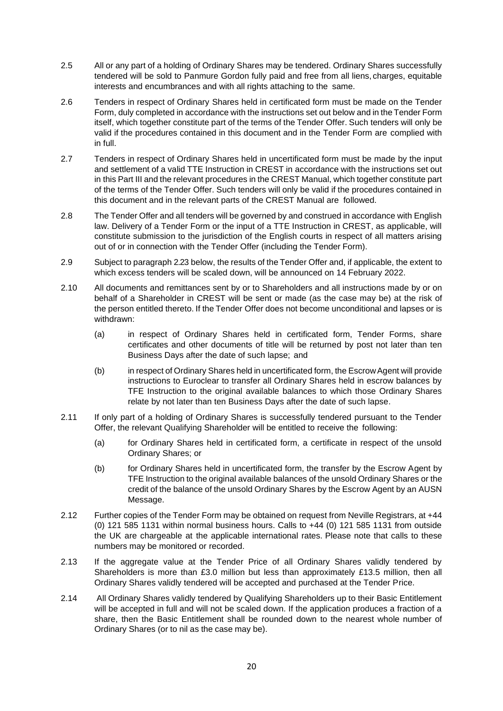- 2.5 All or any part of a holding of Ordinary Shares may be tendered. Ordinary Shares successfully tendered will be sold to Panmure Gordon fully paid and free from all liens, charges, equitable interests and encumbrances and with all rights attaching to the same.
- 2.6 Tenders in respect of Ordinary Shares held in certificated form must be made on the Tender Form, duly completed in accordance with the instructions set out below and in the Tender Form itself, which together constitute part of the terms of the Tender Offer. Such tenders will only be valid if the procedures contained in this document and in the Tender Form are complied with in full.
- 2.7 Tenders in respect of Ordinary Shares held in uncertificated form must be made by the input and settlement of a valid TTE Instruction in CREST in accordance with the instructions set out in this Part III and the relevant procedures in the CREST Manual, which together constitute part of the terms of the Tender Offer. Such tenders will only be valid if the procedures contained in this document and in the relevant parts of the CREST Manual are followed.
- 2.8 The Tender Offer and all tenders will be governed by and construed in accordance with English law. Delivery of a Tender Form or the input of a TTE Instruction in CREST, as applicable, will constitute submission to the jurisdiction of the English courts in respect of all matters arising out of or in connection with the Tender Offer (including the Tender Form).
- 2.9 Subject to paragraph [2.23](#page-21-1) below, the results of the Tender Offer and, if applicable, the extent to which excess tenders will be scaled down, will be announced on 14 February 2022.
- 2.10 All documents and remittances sent by or to Shareholders and all instructions made by or on behalf of a Shareholder in CREST will be sent or made (as the case may be) at the risk of the person entitled thereto. If the Tender Offer does not become unconditional and lapses or is withdrawn:
	- (a) in respect of Ordinary Shares held in certificated form, Tender Forms, share certificates and other documents of title will be returned by post not later than ten Business Days after the date of such lapse; and
	- (b) in respect of Ordinary Shares held in uncertificated form, the Escrow Agent will provide instructions to Euroclear to transfer all Ordinary Shares held in escrow balances by TFE Instruction to the original available balances to which those Ordinary Shares relate by not later than ten Business Days after the date of such lapse.
- 2.11 If only part of a holding of Ordinary Shares is successfully tendered pursuant to the Tender Offer, the relevant Qualifying Shareholder will be entitled to receive the following:
	- (a) for Ordinary Shares held in certificated form, a certificate in respect of the unsold Ordinary Shares; or
	- (b) for Ordinary Shares held in uncertificated form, the transfer by the Escrow Agent by TFE Instruction to the original available balances of the unsold Ordinary Shares or the credit of the balance of the unsold Ordinary Shares by the Escrow Agent by an AUSN Message.
- <span id="page-19-0"></span>2.12 Further copies of the Tender Form may be obtained on request from Neville Registrars, at +44 (0) 121 585 1131 within normal business hours. Calls to +44 (0) 121 585 1131 from outside the UK are chargeable at the applicable international rates. Please note that calls to these numbers may be monitored or recorded.
- 2.13 If the aggregate value at the Tender Price of all Ordinary Shares validly tendered by Shareholders is more than £3.0 million but less than approximately £13.5 million, then all Ordinary Shares validly tendered will be accepted and purchased at the Tender Price.
- 2.14 All Ordinary Shares validly tendered by Qualifying Shareholders up to their Basic Entitlement will be accepted in full and will not be scaled down. If the application produces a fraction of a share, then the Basic Entitlement shall be rounded down to the nearest whole number of Ordinary Shares (or to nil as the case may be).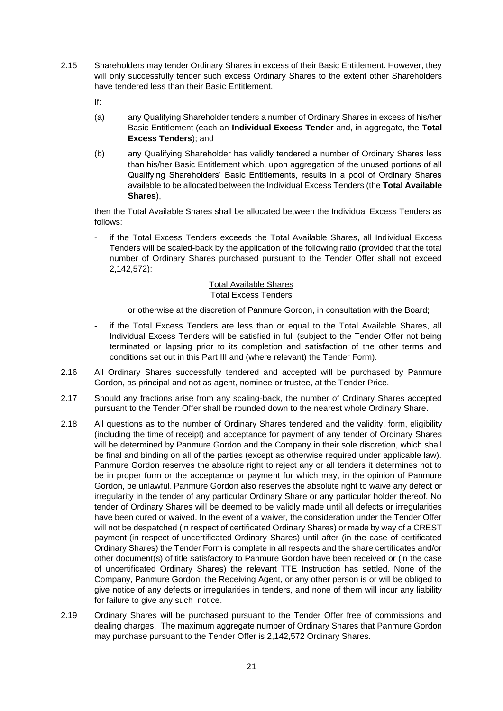- 2.15 Shareholders may tender Ordinary Shares in excess of their Basic Entitlement. However, they will only successfully tender such excess Ordinary Shares to the extent other Shareholders have tendered less than their Basic Entitlement.
	- If:
	- (a) any Qualifying Shareholder tenders a number of Ordinary Shares in excess of his/her Basic Entitlement (each an **Individual Excess Tender** and, in aggregate, the **Total Excess Tenders**); and
	- (b) any Qualifying Shareholder has validly tendered a number of Ordinary Shares less than his/her Basic Entitlement which, upon aggregation of the unused portions of all Qualifying Shareholders' Basic Entitlements, results in a pool of Ordinary Shares available to be allocated between the Individual Excess Tenders (the **Total Available Shares**),

then the Total Available Shares shall be allocated between the Individual Excess Tenders as follows:

if the Total Excess Tenders exceeds the Total Available Shares, all Individual Excess Tenders will be scaled-back by the application of the following ratio (provided that the total number of Ordinary Shares purchased pursuant to the Tender Offer shall not exceed 2,142,572):

#### Total Available Shares Total Excess Tenders

or otherwise at the discretion of Panmure Gordon, in consultation with the Board;

- if the Total Excess Tenders are less than or equal to the Total Available Shares, all Individual Excess Tenders will be satisfied in full (subject to the Tender Offer not being terminated or lapsing prior to its completion and satisfaction of the other terms and conditions set out in this Part III and (where relevant) the Tender Form).
- 2.16 All Ordinary Shares successfully tendered and accepted will be purchased by Panmure Gordon, as principal and not as agent, nominee or trustee, at the Tender Price.
- 2.17 Should any fractions arise from any scaling-back, the number of Ordinary Shares accepted pursuant to the Tender Offer shall be rounded down to the nearest whole Ordinary Share.
- 2.18 All questions as to the number of Ordinary Shares tendered and the validity, form, eligibility (including the time of receipt) and acceptance for payment of any tender of Ordinary Shares will be determined by Panmure Gordon and the Company in their sole discretion, which shall be final and binding on all of the parties (except as otherwise required under applicable law). Panmure Gordon reserves the absolute right to reject any or all tenders it determines not to be in proper form or the acceptance or payment for which may, in the opinion of Panmure Gordon, be unlawful. Panmure Gordon also reserves the absolute right to waive any defect or irregularity in the tender of any particular Ordinary Share or any particular holder thereof. No tender of Ordinary Shares will be deemed to be validly made until all defects or irregularities have been cured or waived. In the event of a waiver, the consideration under the Tender Offer will not be despatched (in respect of certificated Ordinary Shares) or made by way of a CREST payment (in respect of uncertificated Ordinary Shares) until after (in the case of certificated Ordinary Shares) the Tender Form is complete in all respects and the share certificates and/or other document(s) of title satisfactory to Panmure Gordon have been received or (in the case of uncertificated Ordinary Shares) the relevant TTE Instruction has settled. None of the Company, Panmure Gordon, the Receiving Agent, or any other person is or will be obliged to give notice of any defects or irregularities in tenders, and none of them will incur any liability for failure to give any such notice.
- 2.19 Ordinary Shares will be purchased pursuant to the Tender Offer free of commissions and dealing charges. The maximum aggregate number of Ordinary Shares that Panmure Gordon may purchase pursuant to the Tender Offer is 2,142,572 Ordinary Shares.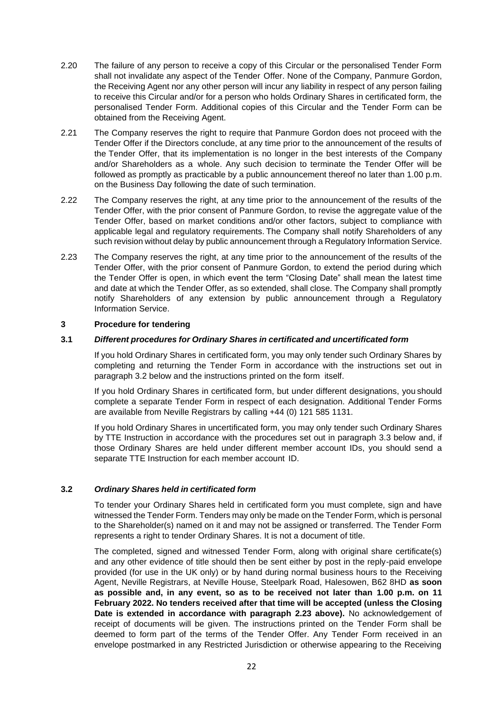- 2.20 The failure of any person to receive a copy of this Circular or the personalised Tender Form shall not invalidate any aspect of the Tender Offer. None of the Company, Panmure Gordon, the Receiving Agent nor any other person will incur any liability in respect of any person failing to receive this Circular and/or for a person who holds Ordinary Shares in certificated form, the personalised Tender Form. Additional copies of this Circular and the Tender Form can be obtained from the Receiving Agent.
- <span id="page-21-0"></span>2.21 The Company reserves the right to require that Panmure Gordon does not proceed with the Tender Offer if the Directors conclude, at any time prior to the announcement of the results of the Tender Offer, that its implementation is no longer in the best interests of the Company and/or Shareholders as a whole. Any such decision to terminate the Tender Offer will be followed as promptly as practicable by a public announcement thereof no later than 1.00 p.m. on the Business Day following the date of such termination.
- 2.22 The Company reserves the right, at any time prior to the announcement of the results of the Tender Offer, with the prior consent of Panmure Gordon, to revise the aggregate value of the Tender Offer, based on market conditions and/or other factors, subject to compliance with applicable legal and regulatory requirements. The Company shall notify Shareholders of any such revision without delay by public announcement through a Regulatory Information Service.
- <span id="page-21-1"></span>2.23 The Company reserves the right, at any time prior to the announcement of the results of the Tender Offer, with the prior consent of Panmure Gordon, to extend the period during which the Tender Offer is open, in which event the term "Closing Date" shall mean the latest time and date at which the Tender Offer, as so extended, shall close. The Company shall promptly notify Shareholders of any extension by public announcement through a Regulatory Information Service.

#### **3 Procedure for tendering**

#### **3.1** *Different procedures for Ordinary Shares in certificated and uncertificated form*

If you hold Ordinary Shares in certificated form, you may only tender such Ordinary Shares by completing and returning the Tender Form in accordance with the instructions set out in paragraph 3.2 below and the instructions printed on the form itself.

If you hold Ordinary Shares in certificated form, but under different designations, you should complete a separate Tender Form in respect of each designation. Additional Tender Forms are available from Neville Registrars by calling +44 (0) 121 585 1131.

If you hold Ordinary Shares in uncertificated form, you may only tender such Ordinary Shares by TTE Instruction in accordance with the procedures set out in paragraph 3.3 below and, if those Ordinary Shares are held under different member account IDs, you should send a separate TTE Instruction for each member account ID.

#### **3.2** *Ordinary Shares held in certificated form*

To tender your Ordinary Shares held in certificated form you must complete, sign and have witnessed the Tender Form. Tenders may only be made on the Tender Form, which is personal to the Shareholder(s) named on it and may not be assigned or transferred. The Tender Form represents a right to tender Ordinary Shares. It is not a document of title.

The completed, signed and witnessed Tender Form, along with original share certificate(s) and any other evidence of title should then be sent either by post in the reply-paid envelope provided (for use in the UK only) or by hand during normal business hours to the Receiving Agent, Neville Registrars, at Neville House, Steelpark Road, Halesowen, B62 8HD **as soon as possible and, in any event, so as to be received not later than 1.00 p.m. on 11 February 2022. No tenders received after that time will be accepted (unless the Closing Date is extended in accordance with paragraph 2.23 above).** No acknowledgement of receipt of documents will be given. The instructions printed on the Tender Form shall be deemed to form part of the terms of the Tender Offer. Any Tender Form received in an envelope postmarked in any Restricted Jurisdiction or otherwise appearing to the Receiving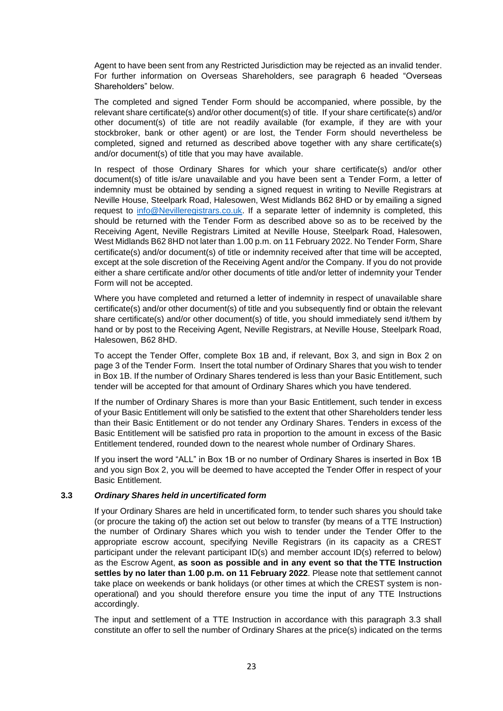Agent to have been sent from any Restricted Jurisdiction may be rejected as an invalid tender. For further information on Overseas Shareholders, see paragraph 6 headed "Overseas Shareholders" below.

The completed and signed Tender Form should be accompanied, where possible, by the relevant share certificate(s) and/or other document(s) of title. If your share certificate(s) and/or other document(s) of title are not readily available (for example, if they are with your stockbroker, bank or other agent) or are lost, the Tender Form should nevertheless be completed, signed and returned as described above together with any share certificate(s) and/or document(s) of title that you may have available.

In respect of those Ordinary Shares for which your share certificate(s) and/or other document(s) of title is/are unavailable and you have been sent a Tender Form, a letter of indemnity must be obtained by sending a signed request in writing to Neville Registrars at Neville House, Steelpark Road, Halesowen, West Midlands B62 8HD or by emailing a signed request to [info@Nevilleregistrars.co.uk.](mailto:info@Nevilleregistrars.co.uk) If a separate letter of indemnity is completed, this should be returned with the Tender Form as described above so as to be received by the Receiving Agent, Neville Registrars Limited at Neville House, Steelpark Road, Halesowen, West Midlands B62 8HD not later than 1.00 p.m. on 11 February 2022. No Tender Form, Share certificate(s) and/or document(s) of title or indemnity received after that time will be accepted, except at the sole discretion of the Receiving Agent and/or the Company. If you do not provide either a share certificate and/or other documents of title and/or letter of indemnity your Tender Form will not be accepted.

Where you have completed and returned a letter of indemnity in respect of unavailable share certificate(s) and/or other document(s) of title and you subsequently find or obtain the relevant share certificate(s) and/or other document(s) of title, you should immediately send it/them by hand or by post to the Receiving Agent, Neville Registrars, at Neville House, Steelpark Road, Halesowen, B62 8HD.

To accept the Tender Offer, complete Box 1B and, if relevant, Box 3, and sign in Box 2 on page 3 of the Tender Form. Insert the total number of Ordinary Shares that you wish to tender in Box 1B. If the number of Ordinary Shares tendered is less than your Basic Entitlement, such tender will be accepted for that amount of Ordinary Shares which you have tendered.

If the number of Ordinary Shares is more than your Basic Entitlement, such tender in excess of your Basic Entitlement will only be satisfied to the extent that other Shareholders tender less than their Basic Entitlement or do not tender any Ordinary Shares. Tenders in excess of the Basic Entitlement will be satisfied pro rata in proportion to the amount in excess of the Basic Entitlement tendered, rounded down to the nearest whole number of Ordinary Shares.

If you insert the word "ALL" in Box 1B or no number of Ordinary Shares is inserted in Box 1B and you sign Box 2, you will be deemed to have accepted the Tender Offer in respect of your Basic Entitlement.

#### **3.3** *Ordinary Shares held in uncertificated form*

If your Ordinary Shares are held in uncertificated form, to tender such shares you should take (or procure the taking of) the action set out below to transfer (by means of a TTE Instruction) the number of Ordinary Shares which you wish to tender under the Tender Offer to the appropriate escrow account, specifying Neville Registrars (in its capacity as a CREST participant under the relevant participant ID(s) and member account ID(s) referred to below) as the Escrow Agent, **as soon as possible and in any event so that the TTE Instruction settles by no later than 1.00 p.m. on 11 February 2022**. Please note that settlement cannot take place on weekends or bank holidays (or other times at which the CREST system is nonoperational) and you should therefore ensure you time the input of any TTE Instructions accordingly.

The input and settlement of a TTE Instruction in accordance with this paragraph 3.3 shall constitute an offer to sell the number of Ordinary Shares at the price(s) indicated on the terms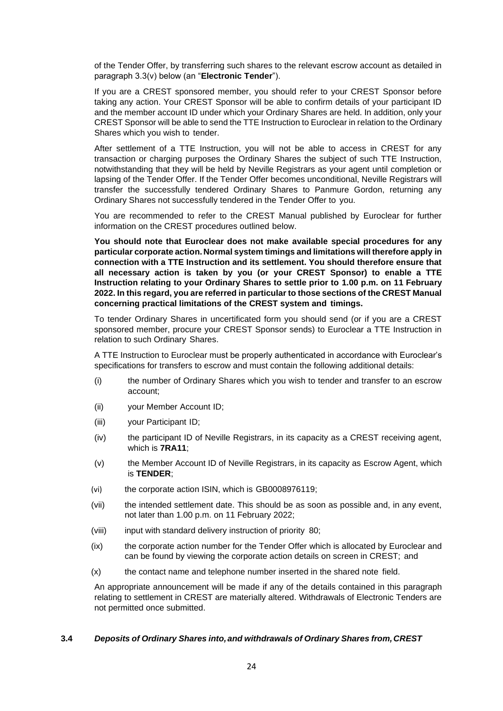of the Tender Offer, by transferring such shares to the relevant escrow account as detailed in paragraph 3.3(v) below (an "**Electronic Tender**").

If you are a CREST sponsored member, you should refer to your CREST Sponsor before taking any action. Your CREST Sponsor will be able to confirm details of your participant ID and the member account ID under which your Ordinary Shares are held. In addition, only your CREST Sponsor will be able to send the TTE Instruction to Euroclear in relation to the Ordinary Shares which you wish to tender.

After settlement of a TTE Instruction, you will not be able to access in CREST for any transaction or charging purposes the Ordinary Shares the subject of such TTE Instruction, notwithstanding that they will be held by Neville Registrars as your agent until completion or lapsing of the Tender Offer. If the Tender Offer becomes unconditional, Neville Registrars will transfer the successfully tendered Ordinary Shares to Panmure Gordon, returning any Ordinary Shares not successfully tendered in the Tender Offer to you.

You are recommended to refer to the CREST Manual published by Euroclear for further information on the CREST procedures outlined below.

**You should note that Euroclear does not make available special procedures for any particular corporate action. Normal system timings and limitations will therefore apply in connection with a TTE Instruction and its settlement. You should therefore ensure that all necessary action is taken by you (or your CREST Sponsor) to enable a TTE Instruction relating to your Ordinary Shares to settle prior to 1.00 p.m. on 11 February 2022. In this regard, you are referred in particular to those sections of the CREST Manual concerning practical limitations of the CREST system and timings.**

To tender Ordinary Shares in uncertificated form you should send (or if you are a CREST sponsored member, procure your CREST Sponsor sends) to Euroclear a TTE Instruction in relation to such Ordinary Shares.

A TTE Instruction to Euroclear must be properly authenticated in accordance with Euroclear's specifications for transfers to escrow and must contain the following additional details:

- (i) the number of Ordinary Shares which you wish to tender and transfer to an escrow account;
- (ii) your Member Account ID;
- (iii) your Participant ID;
- (iv) the participant ID of Neville Registrars, in its capacity as a CREST receiving agent, which is **7RA11**;
- (v) the Member Account ID of Neville Registrars, in its capacity as Escrow Agent, which is **TENDER**;
- (vi) the corporate action ISIN, which is GB0008976119;
- (vii) the intended settlement date. This should be as soon as possible and, in any event, not later than 1.00 p.m. on 11 February 2022;
- (viii) input with standard delivery instruction of priority 80;
- (ix) the corporate action number for the Tender Offer which is allocated by Euroclear and can be found by viewing the corporate action details on screen in CREST; and
- (x) the contact name and telephone number inserted in the shared note field.

An appropriate announcement will be made if any of the details contained in this paragraph relating to settlement in CREST are materially altered. Withdrawals of Electronic Tenders are not permitted once submitted.

#### **3.4** *Deposits of Ordinary Shares into,and withdrawals of Ordinary Shares from,CREST*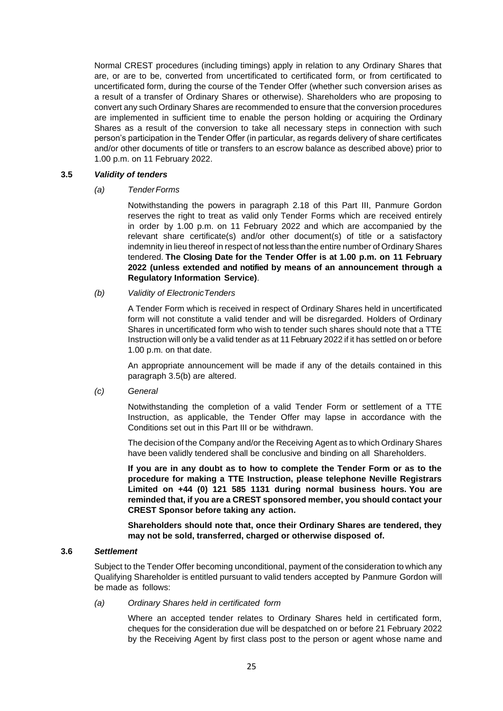Normal CREST procedures (including timings) apply in relation to any Ordinary Shares that are, or are to be, converted from uncertificated to certificated form, or from certificated to uncertificated form, during the course of the Tender Offer (whether such conversion arises as a result of a transfer of Ordinary Shares or otherwise). Shareholders who are proposing to convert any such Ordinary Shares are recommended to ensure that the conversion procedures are implemented in sufficient time to enable the person holding or acquiring the Ordinary Shares as a result of the conversion to take all necessary steps in connection with such person's participation in the Tender Offer (in particular, as regards delivery of share certificates and/or other documents of title or transfers to an escrow balance as described above) prior to 1.00 p.m. on 11 February 2022.

#### **3.5** *Validity of tenders*

#### *(a) TenderForms*

Notwithstanding the powers in paragraph 2.18 of this Part III, Panmure Gordon reserves the right to treat as valid only Tender Forms which are received entirely in order by 1.00 p.m. on 11 February 2022 and which are accompanied by the relevant share certificate(s) and/or other document(s) of title or a satisfactory indemnity in lieu thereof in respect of not less than the entire number of Ordinary Shares tendered. **The Closing Date for the Tender Offer is at 1.00 p.m. on 11 February 2022 (unless extended and notified by means of an announcement through a Regulatory Information Service)**.

#### *(b) Validity of ElectronicTenders*

A Tender Form which is received in respect of Ordinary Shares held in uncertificated form will not constitute a valid tender and will be disregarded. Holders of Ordinary Shares in uncertificated form who wish to tender such shares should note that a TTE Instruction will only be a valid tender as at 11 February 2022 if it has settled on or before 1.00 p.m. on that date.

An appropriate announcement will be made if any of the details contained in this paragraph 3.5(b) are altered.

#### *(c) General*

Notwithstanding the completion of a valid Tender Form or settlement of a TTE Instruction, as applicable, the Tender Offer may lapse in accordance with the Conditions set out in this Part III or be withdrawn.

The decision of the Company and/or the Receiving Agent as to which Ordinary Shares have been validly tendered shall be conclusive and binding on all Shareholders.

**If you are in any doubt as to how to complete the Tender Form or as to the procedure for making a TTE Instruction, please telephone Neville Registrars Limited on +44 (0) 121 585 1131 during normal business hours. You are reminded that, if you are a CREST sponsored member, you should contact your CREST Sponsor before taking any action.**

**Shareholders should note that, once their Ordinary Shares are tendered, they may not be sold, transferred, charged or otherwise disposed of.**

#### **3.6** *Settlement*

Subject to the Tender Offer becoming unconditional, payment of the consideration to which any Qualifying Shareholder is entitled pursuant to valid tenders accepted by Panmure Gordon will be made as follows:

*(a) Ordinary Shares held in certificated form*

Where an accepted tender relates to Ordinary Shares held in certificated form, cheques for the consideration due will be despatched on or before 21 February 2022 by the Receiving Agent by first class post to the person or agent whose name and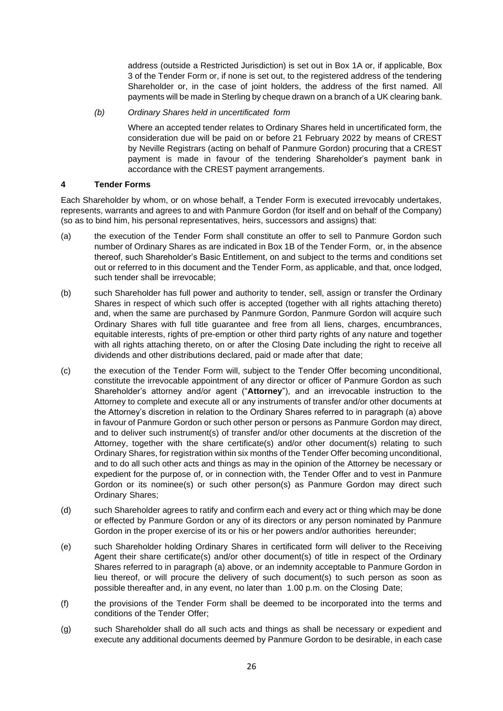address (outside a Restricted Jurisdiction) is set out in Box 1A or, if applicable, Box 3 of the Tender Form or, if none is set out, to the registered address of the tendering Shareholder or, in the case of joint holders, the address of the first named. All payments will be made in Sterling by cheque drawn on a branch of a UK clearing bank.

*(b) Ordinary Shares held in uncertificated form*

Where an accepted tender relates to Ordinary Shares held in uncertificated form, the consideration due will be paid on or before 21 February 2022 by means of CREST by Neville Registrars (acting on behalf of Panmure Gordon) procuring that a CREST payment is made in favour of the tendering Shareholder's payment bank in accordance with the CREST payment arrangements.

#### **4 Tender Forms**

Each Shareholder by whom, or on whose behalf, a Tender Form is executed irrevocably undertakes, represents, warrants and agrees to and with Panmure Gordon (for itself and on behalf of the Company) (so as to bind him, his personal representatives, heirs, successors and assigns) that:

- (a) the execution of the Tender Form shall constitute an offer to sell to Panmure Gordon such number of Ordinary Shares as are indicated in Box 1B of the Tender Form, or, in the absence thereof, such Shareholder's Basic Entitlement, on and subject to the terms and conditions set out or referred to in this document and the Tender Form, as applicable, and that, once lodged, such tender shall be irrevocable;
- (b) such Shareholder has full power and authority to tender, sell, assign or transfer the Ordinary Shares in respect of which such offer is accepted (together with all rights attaching thereto) and, when the same are purchased by Panmure Gordon, Panmure Gordon will acquire such Ordinary Shares with full title guarantee and free from all liens, charges, encumbrances, equitable interests, rights of pre-emption or other third party rights of any nature and together with all rights attaching thereto, on or after the Closing Date including the right to receive all dividends and other distributions declared, paid or made after that date;
- (c) the execution of the Tender Form will, subject to the Tender Offer becoming unconditional, constitute the irrevocable appointment of any director or officer of Panmure Gordon as such Shareholder's attorney and/or agent ("**Attorney**"), and an irrevocable instruction to the Attorney to complete and execute all or any instruments of transfer and/or other documents at the Attorney's discretion in relation to the Ordinary Shares referred to in paragraph (a) above in favour of Panmure Gordon or such other person or persons as Panmure Gordon may direct, and to deliver such instrument(s) of transfer and/or other documents at the discretion of the Attorney, together with the share certificate(s) and/or other document(s) relating to such Ordinary Shares, for registration within six months of the Tender Offer becoming unconditional, and to do all such other acts and things as may in the opinion of the Attorney be necessary or expedient for the purpose of, or in connection with, the Tender Offer and to vest in Panmure Gordon or its nominee(s) or such other person(s) as Panmure Gordon may direct such Ordinary Shares;
- (d) such Shareholder agrees to ratify and confirm each and every act or thing which may be done or effected by Panmure Gordon or any of its directors or any person nominated by Panmure Gordon in the proper exercise of its or his or her powers and/or authorities hereunder;
- (e) such Shareholder holding Ordinary Shares in certificated form will deliver to the Receiving Agent their share certificate(s) and/or other document(s) of title in respect of the Ordinary Shares referred to in paragraph (a) above, or an indemnity acceptable to Panmure Gordon in lieu thereof, or will procure the delivery of such document(s) to such person as soon as possible thereafter and, in any event, no later than 1.00 p.m. on the Closing Date;
- (f) the provisions of the Tender Form shall be deemed to be incorporated into the terms and conditions of the Tender Offer;
- (g) such Shareholder shall do all such acts and things as shall be necessary or expedient and execute any additional documents deemed by Panmure Gordon to be desirable, in each case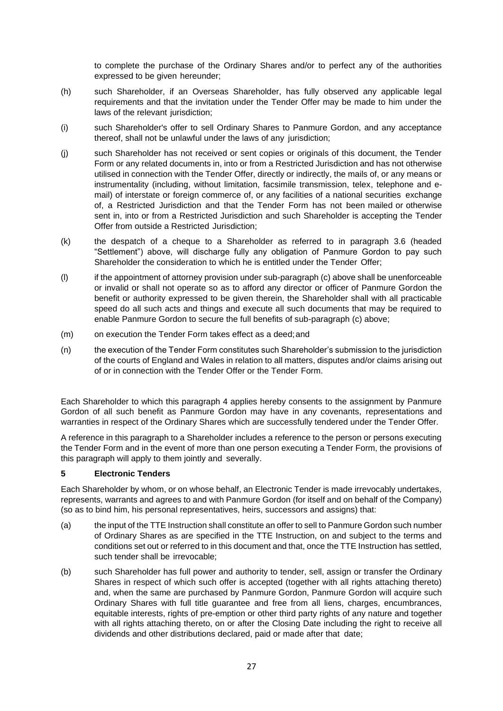to complete the purchase of the Ordinary Shares and/or to perfect any of the authorities expressed to be given hereunder;

- (h) such Shareholder, if an Overseas Shareholder, has fully observed any applicable legal requirements and that the invitation under the Tender Offer may be made to him under the laws of the relevant jurisdiction;
- (i) such Shareholder's offer to sell Ordinary Shares to Panmure Gordon, and any acceptance thereof, shall not be unlawful under the laws of any jurisdiction;
- (j) such Shareholder has not received or sent copies or originals of this document, the Tender Form or any related documents in, into or from a Restricted Jurisdiction and has not otherwise utilised in connection with the Tender Offer, directly or indirectly, the mails of, or any means or instrumentality (including, without limitation, facsimile transmission, telex, telephone and email) of interstate or foreign commerce of, or any facilities of a national securities exchange of, a Restricted Jurisdiction and that the Tender Form has not been mailed or otherwise sent in, into or from a Restricted Jurisdiction and such Shareholder is accepting the Tender Offer from outside a Restricted Jurisdiction;
- (k) the despatch of a cheque to a Shareholder as referred to in paragraph 3.6 (headed "Settlement") above, will discharge fully any obligation of Panmure Gordon to pay such Shareholder the consideration to which he is entitled under the Tender Offer;
- (l) if the appointment of attorney provision under sub-paragraph (c) above shall be unenforceable or invalid or shall not operate so as to afford any director or officer of Panmure Gordon the benefit or authority expressed to be given therein, the Shareholder shall with all practicable speed do all such acts and things and execute all such documents that may be required to enable Panmure Gordon to secure the full benefits of sub-paragraph (c) above;
- (m) on execution the Tender Form takes effect as a deed;and
- (n) the execution of the Tender Form constitutes such Shareholder's submission to the jurisdiction of the courts of England and Wales in relation to all matters, disputes and/or claims arising out of or in connection with the Tender Offer or the Tender Form.

Each Shareholder to which this paragraph 4 applies hereby consents to the assignment by Panmure Gordon of all such benefit as Panmure Gordon may have in any covenants, representations and warranties in respect of the Ordinary Shares which are successfully tendered under the Tender Offer.

A reference in this paragraph to a Shareholder includes a reference to the person or persons executing the Tender Form and in the event of more than one person executing a Tender Form, the provisions of this paragraph will apply to them jointly and severally.

#### **5 Electronic Tenders**

Each Shareholder by whom, or on whose behalf, an Electronic Tender is made irrevocably undertakes, represents, warrants and agrees to and with Panmure Gordon (for itself and on behalf of the Company) (so as to bind him, his personal representatives, heirs, successors and assigns) that:

- (a) the input of the TTE Instruction shall constitute an offer to sell to Panmure Gordon such number of Ordinary Shares as are specified in the TTE Instruction, on and subject to the terms and conditions set out or referred to in this document and that, once the TTE Instruction has settled, such tender shall be irrevocable;
- (b) such Shareholder has full power and authority to tender, sell, assign or transfer the Ordinary Shares in respect of which such offer is accepted (together with all rights attaching thereto) and, when the same are purchased by Panmure Gordon, Panmure Gordon will acquire such Ordinary Shares with full title guarantee and free from all liens, charges, encumbrances, equitable interests, rights of pre-emption or other third party rights of any nature and together with all rights attaching thereto, on or after the Closing Date including the right to receive all dividends and other distributions declared, paid or made after that date;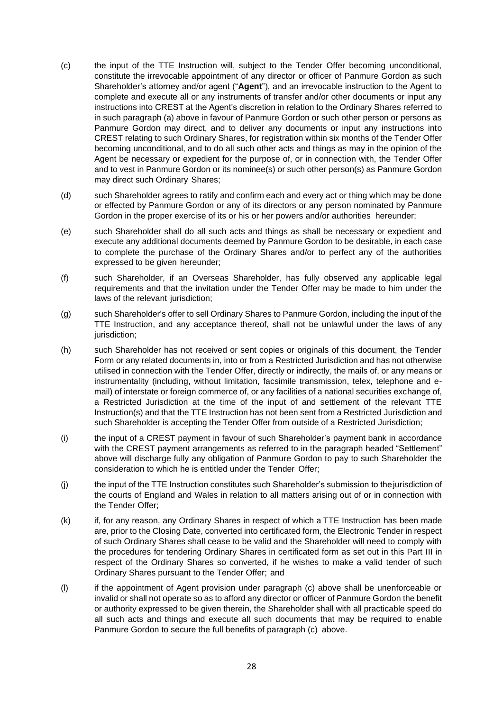- (c) the input of the TTE Instruction will, subject to the Tender Offer becoming unconditional, constitute the irrevocable appointment of any director or officer of Panmure Gordon as such Shareholder's attorney and/or agent ("**Agent**"), and an irrevocable instruction to the Agent to complete and execute all or any instruments of transfer and/or other documents or input any instructions into CREST at the Agent's discretion in relation to the Ordinary Shares referred to in such paragraph (a) above in favour of Panmure Gordon or such other person or persons as Panmure Gordon may direct, and to deliver any documents or input any instructions into CREST relating to such Ordinary Shares, for registration within six months of the Tender Offer becoming unconditional, and to do all such other acts and things as may in the opinion of the Agent be necessary or expedient for the purpose of, or in connection with, the Tender Offer and to vest in Panmure Gordon or its nominee(s) or such other person(s) as Panmure Gordon may direct such Ordinary Shares;
- (d) such Shareholder agrees to ratify and confirm each and every act or thing which may be done or effected by Panmure Gordon or any of its directors or any person nominated by Panmure Gordon in the proper exercise of its or his or her powers and/or authorities hereunder;
- (e) such Shareholder shall do all such acts and things as shall be necessary or expedient and execute any additional documents deemed by Panmure Gordon to be desirable, in each case to complete the purchase of the Ordinary Shares and/or to perfect any of the authorities expressed to be given hereunder;
- (f) such Shareholder, if an Overseas Shareholder, has fully observed any applicable legal requirements and that the invitation under the Tender Offer may be made to him under the laws of the relevant jurisdiction;
- (g) such Shareholder's offer to sell Ordinary Shares to Panmure Gordon, including the input of the TTE Instruction, and any acceptance thereof, shall not be unlawful under the laws of any jurisdiction;
- (h) such Shareholder has not received or sent copies or originals of this document, the Tender Form or any related documents in, into or from a Restricted Jurisdiction and has not otherwise utilised in connection with the Tender Offer, directly or indirectly, the mails of, or any means or instrumentality (including, without limitation, facsimile transmission, telex, telephone and email) of interstate or foreign commerce of, or any facilities of a national securities exchange of, a Restricted Jurisdiction at the time of the input of and settlement of the relevant TTE Instruction(s) and that the TTE Instruction has not been sent from a Restricted Jurisdiction and such Shareholder is accepting the Tender Offer from outside of a Restricted Jurisdiction;
- (i) the input of a CREST payment in favour of such Shareholder's payment bank in accordance with the CREST payment arrangements as referred to in the paragraph headed "Settlement" above will discharge fully any obligation of Panmure Gordon to pay to such Shareholder the consideration to which he is entitled under the Tender Offer;
- (j) the input of the TTE Instruction constitutes such Shareholder's submission to thejurisdiction of the courts of England and Wales in relation to all matters arising out of or in connection with the Tender Offer;
- (k) if, for any reason, any Ordinary Shares in respect of which a TTE Instruction has been made are, prior to the Closing Date, converted into certificated form, the Electronic Tender in respect of such Ordinary Shares shall cease to be valid and the Shareholder will need to comply with the procedures for tendering Ordinary Shares in certificated form as set out in this Part III in respect of the Ordinary Shares so converted, if he wishes to make a valid tender of such Ordinary Shares pursuant to the Tender Offer; and
- (l) if the appointment of Agent provision under paragraph (c) above shall be unenforceable or invalid or shall not operate so as to afford any director or officer of Panmure Gordon the benefit or authority expressed to be given therein, the Shareholder shall with all practicable speed do all such acts and things and execute all such documents that may be required to enable Panmure Gordon to secure the full benefits of paragraph (c) above.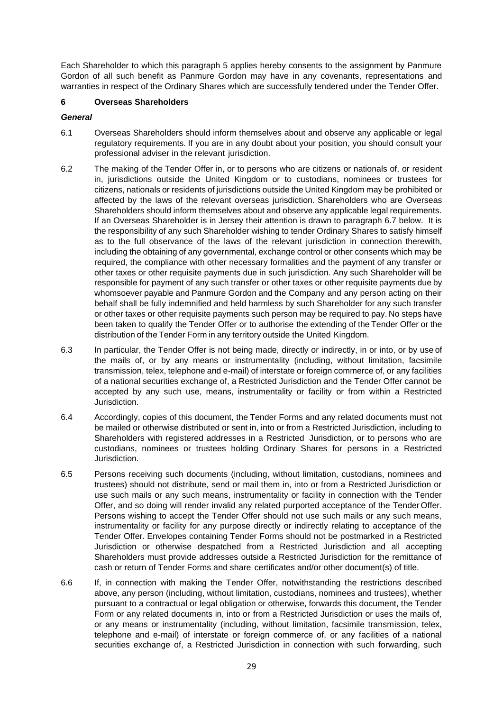Each Shareholder to which this paragraph 5 applies hereby consents to the assignment by Panmure Gordon of all such benefit as Panmure Gordon may have in any covenants, representations and warranties in respect of the Ordinary Shares which are successfully tendered under the Tender Offer.

#### **6 Overseas Shareholders**

#### *General*

- 6.1 Overseas Shareholders should inform themselves about and observe any applicable or legal regulatory requirements. If you are in any doubt about your position, you should consult your professional adviser in the relevant jurisdiction.
- 6.2 The making of the Tender Offer in, or to persons who are citizens or nationals of, or resident in, jurisdictions outside the United Kingdom or to custodians, nominees or trustees for citizens, nationals or residents of jurisdictions outside the United Kingdom may be prohibited or affected by the laws of the relevant overseas jurisdiction. Shareholders who are Overseas Shareholders should inform themselves about and observe any applicable legal requirements. If an Overseas Shareholder is in Jersey their attention is drawn to paragraph 6.7 below. It is the responsibility of any such Shareholder wishing to tender Ordinary Shares to satisfy himself as to the full observance of the laws of the relevant jurisdiction in connection therewith, including the obtaining of any governmental, exchange control or other consents which may be required, the compliance with other necessary formalities and the payment of any transfer or other taxes or other requisite payments due in such jurisdiction. Any such Shareholder will be responsible for payment of any such transfer or other taxes or other requisite payments due by whomsoever payable and Panmure Gordon and the Company and any person acting on their behalf shall be fully indemnified and held harmless by such Shareholder for any such transfer or other taxes or other requisite payments such person may be required to pay. No steps have been taken to qualify the Tender Offer or to authorise the extending of the Tender Offer or the distribution of the Tender Form in any territory outside the United Kingdom.
- 6.3 In particular, the Tender Offer is not being made, directly or indirectly, in or into, or by use of the mails of, or by any means or instrumentality (including, without limitation, facsimile transmission, telex, telephone and e-mail) of interstate or foreign commerce of, or any facilities of a national securities exchange of, a Restricted Jurisdiction and the Tender Offer cannot be accepted by any such use, means, instrumentality or facility or from within a Restricted Jurisdiction.
- 6.4 Accordingly, copies of this document, the Tender Forms and any related documents must not be mailed or otherwise distributed or sent in, into or from a Restricted Jurisdiction, including to Shareholders with registered addresses in a Restricted Jurisdiction, or to persons who are custodians, nominees or trustees holding Ordinary Shares for persons in a Restricted Jurisdiction.
- 6.5 Persons receiving such documents (including, without limitation, custodians, nominees and trustees) should not distribute, send or mail them in, into or from a Restricted Jurisdiction or use such mails or any such means, instrumentality or facility in connection with the Tender Offer, and so doing will render invalid any related purported acceptance of the Tender Offer. Persons wishing to accept the Tender Offer should not use such mails or any such means, instrumentality or facility for any purpose directly or indirectly relating to acceptance of the Tender Offer. Envelopes containing Tender Forms should not be postmarked in a Restricted Jurisdiction or otherwise despatched from a Restricted Jurisdiction and all accepting Shareholders must provide addresses outside a Restricted Jurisdiction for the remittance of cash or return of Tender Forms and share certificates and/or other document(s) of title.
- 6.6 If, in connection with making the Tender Offer, notwithstanding the restrictions described above, any person (including, without limitation, custodians, nominees and trustees), whether pursuant to a contractual or legal obligation or otherwise, forwards this document, the Tender Form or any related documents in, into or from a Restricted Jurisdiction or uses the mails of, or any means or instrumentality (including, without limitation, facsimile transmission, telex, telephone and e-mail) of interstate or foreign commerce of, or any facilities of a national securities exchange of, a Restricted Jurisdiction in connection with such forwarding, such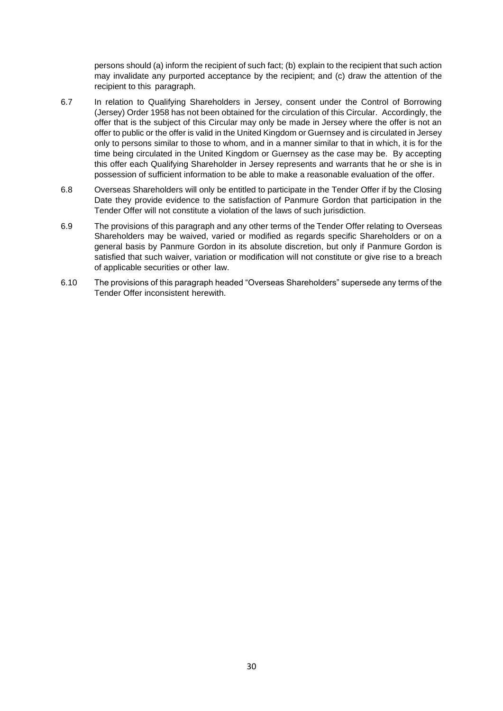persons should (a) inform the recipient of such fact; (b) explain to the recipient that such action may invalidate any purported acceptance by the recipient; and (c) draw the attention of the recipient to this paragraph.

- 6.7 In relation to Qualifying Shareholders in Jersey, consent under the Control of Borrowing (Jersey) Order 1958 has not been obtained for the circulation of this Circular. Accordingly, the offer that is the subject of this Circular may only be made in Jersey where the offer is not an offer to public or the offer is valid in the United Kingdom or Guernsey and is circulated in Jersey only to persons similar to those to whom, and in a manner similar to that in which, it is for the time being circulated in the United Kingdom or Guernsey as the case may be. By accepting this offer each Qualifying Shareholder in Jersey represents and warrants that he or she is in possession of sufficient information to be able to make a reasonable evaluation of the offer.
- 6.8 Overseas Shareholders will only be entitled to participate in the Tender Offer if by the Closing Date they provide evidence to the satisfaction of Panmure Gordon that participation in the Tender Offer will not constitute a violation of the laws of such jurisdiction.
- 6.9 The provisions of this paragraph and any other terms of the Tender Offer relating to Overseas Shareholders may be waived, varied or modified as regards specific Shareholders or on a general basis by Panmure Gordon in its absolute discretion, but only if Panmure Gordon is satisfied that such waiver, variation or modification will not constitute or give rise to a breach of applicable securities or other law.
- 6.10 The provisions of this paragraph headed "Overseas Shareholders" supersede any terms of the Tender Offer inconsistent herewith.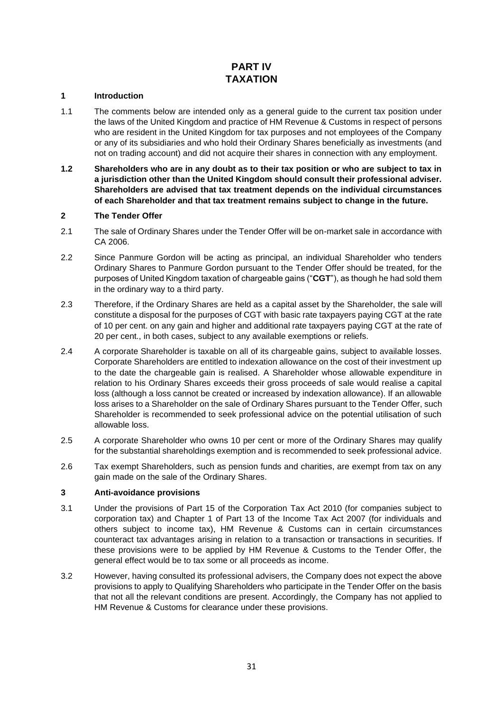## **PART IV TAXATION**

#### <span id="page-30-0"></span>**1 Introduction**

- 1.1 The comments below are intended only as a general guide to the current tax position under the laws of the United Kingdom and practice of HM Revenue & Customs in respect of persons who are resident in the United Kingdom for tax purposes and not employees of the Company or any of its subsidiaries and who hold their Ordinary Shares beneficially as investments (and not on trading account) and did not acquire their shares in connection with any employment.
- **1.2 Shareholders who are in any doubt as to their tax position or who are subject to tax in a jurisdiction other than the United Kingdom should consult their professional adviser. Shareholders are advised that tax treatment depends on the individual circumstances of each Shareholder and that tax treatment remains subject to change in the future.**

#### **2 The Tender Offer**

- 2.1 The sale of Ordinary Shares under the Tender Offer will be on-market sale in accordance with CA 2006.
- 2.2 Since Panmure Gordon will be acting as principal, an individual Shareholder who tenders Ordinary Shares to Panmure Gordon pursuant to the Tender Offer should be treated, for the purposes of United Kingdom taxation of chargeable gains ("**CGT**"), as though he had sold them in the ordinary way to a third party.
- 2.3 Therefore, if the Ordinary Shares are held as a capital asset by the Shareholder, the sale will constitute a disposal for the purposes of CGT with basic rate taxpayers paying CGT at the rate of 10 per cent. on any gain and higher and additional rate taxpayers paying CGT at the rate of 20 per cent., in both cases, subject to any available exemptions or reliefs.
- 2.4 A corporate Shareholder is taxable on all of its chargeable gains, subject to available losses. Corporate Shareholders are entitled to indexation allowance on the cost of their investment up to the date the chargeable gain is realised. A Shareholder whose allowable expenditure in relation to his Ordinary Shares exceeds their gross proceeds of sale would realise a capital loss (although a loss cannot be created or increased by indexation allowance). If an allowable loss arises to a Shareholder on the sale of Ordinary Shares pursuant to the Tender Offer, such Shareholder is recommended to seek professional advice on the potential utilisation of such allowable loss.
- 2.5 A corporate Shareholder who owns 10 per cent or more of the Ordinary Shares may qualify for the substantial shareholdings exemption and is recommended to seek professional advice.
- 2.6 Tax exempt Shareholders, such as pension funds and charities, are exempt from tax on any gain made on the sale of the Ordinary Shares.

#### **3 Anti-avoidance provisions**

- 3.1 Under the provisions of Part 15 of the Corporation Tax Act 2010 (for companies subject to corporation tax) and Chapter 1 of Part 13 of the Income Tax Act 2007 (for individuals and others subject to income tax), HM Revenue & Customs can in certain circumstances counteract tax advantages arising in relation to a transaction or transactions in securities. If these provisions were to be applied by HM Revenue & Customs to the Tender Offer, the general effect would be to tax some or all proceeds as income.
- 3.2 However, having consulted its professional advisers, the Company does not expect the above provisions to apply to Qualifying Shareholders who participate in the Tender Offer on the basis that not all the relevant conditions are present. Accordingly, the Company has not applied to HM Revenue & Customs for clearance under these provisions.